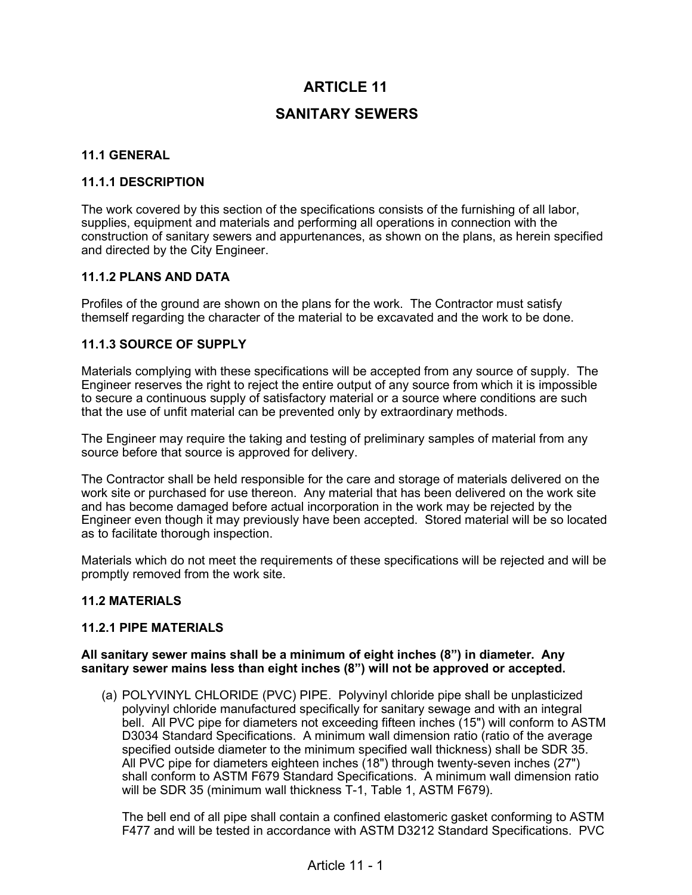# **ARTICLE 11**

# **SANITARY SEWERS**

### **11.1 GENERAL**

#### **11.1.1 DESCRIPTION**

The work covered by this section of the specifications consists of the furnishing of all labor, supplies, equipment and materials and performing all operations in connection with the construction of sanitary sewers and appurtenances, as shown on the plans, as herein specified and directed by the City Engineer.

#### **11.1.2 PLANS AND DATA**

Profiles of the ground are shown on the plans for the work. The Contractor must satisfy themself regarding the character of the material to be excavated and the work to be done.

#### **11.1.3 SOURCE OF SUPPLY**

Materials complying with these specifications will be accepted from any source of supply. The Engineer reserves the right to reject the entire output of any source from which it is impossible to secure a continuous supply of satisfactory material or a source where conditions are such that the use of unfit material can be prevented only by extraordinary methods.

The Engineer may require the taking and testing of preliminary samples of material from any source before that source is approved for delivery.

The Contractor shall be held responsible for the care and storage of materials delivered on the work site or purchased for use thereon. Any material that has been delivered on the work site and has become damaged before actual incorporation in the work may be rejected by the Engineer even though it may previously have been accepted. Stored material will be so located as to facilitate thorough inspection.

Materials which do not meet the requirements of these specifications will be rejected and will be promptly removed from the work site.

#### **11.2 MATERIALS**

#### **11.2.1 PIPE MATERIALS**

#### **All sanitary sewer mains shall be a minimum of eight inches (8") in diameter. Any sanitary sewer mains less than eight inches (8") will not be approved or accepted.**

(a) POLYVINYL CHLORIDE (PVC) PIPE. Polyvinyl chloride pipe shall be unplasticized polyvinyl chloride manufactured specifically for sanitary sewage and with an integral bell. All PVC pipe for diameters not exceeding fifteen inches (15") will conform to ASTM D3034 Standard Specifications. A minimum wall dimension ratio (ratio of the average specified outside diameter to the minimum specified wall thickness) shall be SDR 35. All PVC pipe for diameters eighteen inches (18") through twenty-seven inches (27") shall conform to ASTM F679 Standard Specifications. A minimum wall dimension ratio will be SDR 35 (minimum wall thickness T-1, Table 1, ASTM F679).

The bell end of all pipe shall contain a confined elastomeric gasket conforming to ASTM F477 and will be tested in accordance with ASTM D3212 Standard Specifications. PVC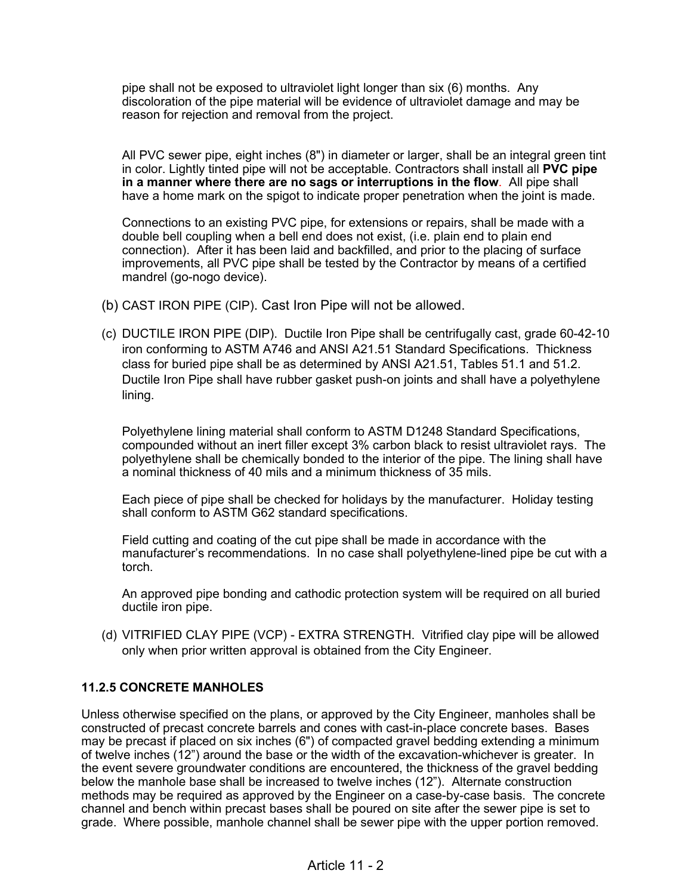pipe shall not be exposed to ultraviolet light longer than six (6) months. Any discoloration of the pipe material will be evidence of ultraviolet damage and may be reason for rejection and removal from the project.

All PVC sewer pipe, eight inches (8") in diameter or larger, shall be an integral green tint in color. Lightly tinted pipe will not be acceptable. Contractors shall install all **PVC pipe in a manner where there are no sags or interruptions in the flow**. All pipe shall have a home mark on the spigot to indicate proper penetration when the joint is made.

Connections to an existing PVC pipe, for extensions or repairs, shall be made with a double bell coupling when a bell end does not exist, (i.e. plain end to plain end connection). After it has been laid and backfilled, and prior to the placing of surface improvements, all PVC pipe shall be tested by the Contractor by means of a certified mandrel (go-nogo device).

- (b) CAST IRON PIPE (CIP). Cast Iron Pipe will not be allowed.
- (c) DUCTILE IRON PIPE (DIP). Ductile Iron Pipe shall be centrifugally cast, grade 60-42-10 iron conforming to ASTM A746 and ANSI A21.51 Standard Specifications. Thickness class for buried pipe shall be as determined by ANSI A21.51, Tables 51.1 and 51.2. Ductile Iron Pipe shall have rubber gasket push-on joints and shall have a polyethylene lining.

Polyethylene lining material shall conform to ASTM D1248 Standard Specifications, compounded without an inert filler except 3% carbon black to resist ultraviolet rays. The polyethylene shall be chemically bonded to the interior of the pipe. The lining shall have a nominal thickness of 40 mils and a minimum thickness of 35 mils.

Each piece of pipe shall be checked for holidays by the manufacturer. Holiday testing shall conform to ASTM G62 standard specifications.

Field cutting and coating of the cut pipe shall be made in accordance with the manufacturer's recommendations. In no case shall polyethylene-lined pipe be cut with a torch.

An approved pipe bonding and cathodic protection system will be required on all buried ductile iron pipe.

(d) VITRIFIED CLAY PIPE (VCP) - EXTRA STRENGTH. Vitrified clay pipe will be allowed only when prior written approval is obtained from the City Engineer.

# **11.2.5 CONCRETE MANHOLES**

Unless otherwise specified on the plans, or approved by the City Engineer, manholes shall be constructed of precast concrete barrels and cones with cast-in-place concrete bases. Bases may be precast if placed on six inches (6") of compacted gravel bedding extending a minimum of twelve inches (12") around the base or the width of the excavation-whichever is greater. In the event severe groundwater conditions are encountered, the thickness of the gravel bedding below the manhole base shall be increased to twelve inches (12"). Alternate construction methods may be required as approved by the Engineer on a case-by-case basis. The concrete channel and bench within precast bases shall be poured on site after the sewer pipe is set to grade. Where possible, manhole channel shall be sewer pipe with the upper portion removed.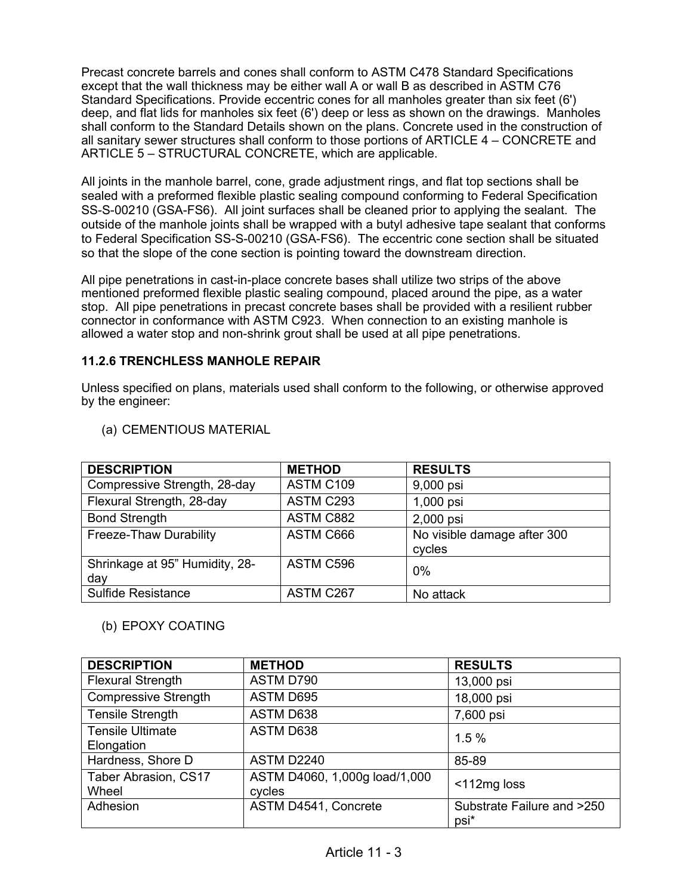Precast concrete barrels and cones shall conform to ASTM C478 Standard Specifications except that the wall thickness may be either wall A or wall B as described in ASTM C76 Standard Specifications. Provide eccentric cones for all manholes greater than six feet (6') deep, and flat lids for manholes six feet (6') deep or less as shown on the drawings. Manholes shall conform to the Standard Details shown on the plans. Concrete used in the construction of all sanitary sewer structures shall conform to those portions of ARTICLE 4 – CONCRETE and ARTICLE 5 – STRUCTURAL CONCRETE, which are applicable.

All joints in the manhole barrel, cone, grade adjustment rings, and flat top sections shall be sealed with a preformed flexible plastic sealing compound conforming to Federal Specification SS-S-00210 (GSA-FS6). All joint surfaces shall be cleaned prior to applying the sealant. The outside of the manhole joints shall be wrapped with a butyl adhesive tape sealant that conforms to Federal Specification SS-S-00210 (GSA-FS6). The eccentric cone section shall be situated so that the slope of the cone section is pointing toward the downstream direction.

All pipe penetrations in cast-in-place concrete bases shall utilize two strips of the above mentioned preformed flexible plastic sealing compound, placed around the pipe, as a water stop. All pipe penetrations in precast concrete bases shall be provided with a resilient rubber connector in conformance with ASTM C923. When connection to an existing manhole is allowed a water stop and non-shrink grout shall be used at all pipe penetrations.

## **11.2.6 TRENCHLESS MANHOLE REPAIR**

Unless specified on plans, materials used shall conform to the following, or otherwise approved by the engineer:

| <b>DESCRIPTION</b>                    | <b>METHOD</b> | <b>RESULTS</b>                        |
|---------------------------------------|---------------|---------------------------------------|
| Compressive Strength, 28-day          | ASTM C109     | 9,000 psi                             |
| Flexural Strength, 28-day             | ASTM C293     | 1,000 psi                             |
| <b>Bond Strength</b>                  | ASTM C882     | 2,000 psi                             |
| Freeze-Thaw Durability                | ASTM C666     | No visible damage after 300<br>cycles |
| Shrinkage at 95" Humidity, 28-<br>day | ASTM C596     | 0%                                    |
| <b>Sulfide Resistance</b>             | ASTM C267     | No attack                             |

#### (a) CEMENTIOUS MATERIAL

### (b) EPOXY COATING

| <b>DESCRIPTION</b>                    | <b>METHOD</b>                           | <b>RESULTS</b>                     |
|---------------------------------------|-----------------------------------------|------------------------------------|
| <b>Flexural Strength</b>              | ASTM D790                               | 13,000 psi                         |
| <b>Compressive Strength</b>           | ASTM D695                               | 18,000 psi                         |
| <b>Tensile Strength</b>               | ASTM D638                               | 7,600 psi                          |
| <b>Tensile Ultimate</b><br>Elongation | ASTM D638                               | 1.5%                               |
| Hardness, Shore D                     | ASTM D2240                              | 85-89                              |
| Taber Abrasion, CS17<br>Wheel         | ASTM D4060, 1,000g load/1,000<br>cycles | <112mg loss                        |
| Adhesion                              | ASTM D4541, Concrete                    | Substrate Failure and >250<br>psi* |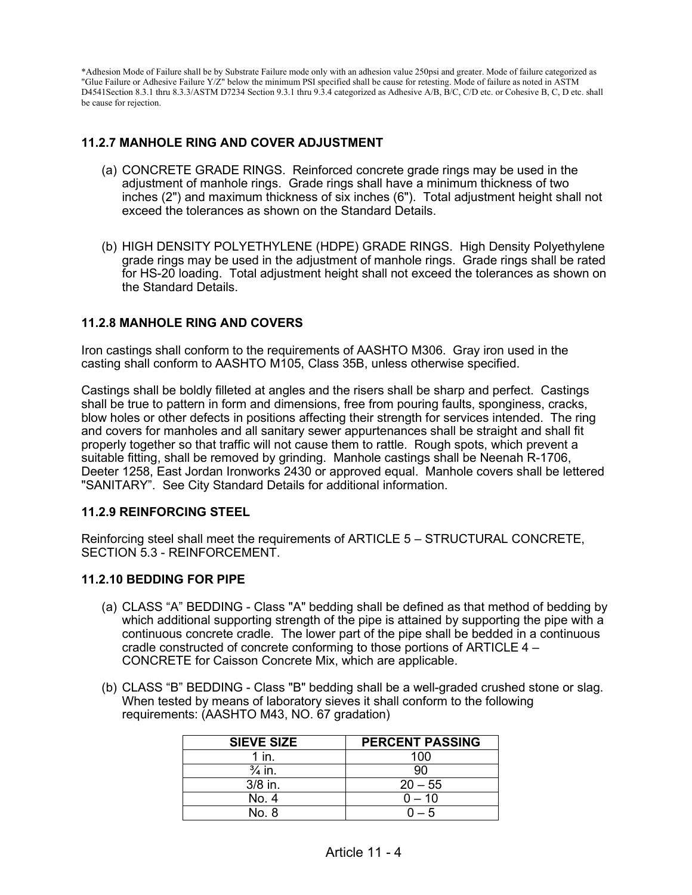\*Adhesion Mode of Failure shall be by Substrate Failure mode only with an adhesion value 250psi and greater. Mode of failure categorized as "Glue Failure or Adhesive Failure Y/Z" below the minimum PSI specified shall be cause for retesting. Mode of failure as noted in ASTM D4541Section 8.3.1 thru 8.3.3/ASTM D7234 Section 9.3.1 thru 9.3.4 categorized as Adhesive A/B, B/C, C/D etc. or Cohesive B, C, D etc. shall be cause for rejection.

## **11.2.7 MANHOLE RING AND COVER ADJUSTMENT**

- (a) CONCRETE GRADE RINGS. Reinforced concrete grade rings may be used in the adjustment of manhole rings. Grade rings shall have a minimum thickness of two inches (2") and maximum thickness of six inches (6"). Total adjustment height shall not exceed the tolerances as shown on the Standard Details.
- (b) HIGH DENSITY POLYETHYLENE (HDPE) GRADE RINGS. High Density Polyethylene grade rings may be used in the adjustment of manhole rings. Grade rings shall be rated for HS-20 loading. Total adjustment height shall not exceed the tolerances as shown on the Standard Details.

### **11.2.8 MANHOLE RING AND COVERS**

Iron castings shall conform to the requirements of AASHTO M306. Gray iron used in the casting shall conform to AASHTO M105, Class 35B, unless otherwise specified.

Castings shall be boldly filleted at angles and the risers shall be sharp and perfect. Castings shall be true to pattern in form and dimensions, free from pouring faults, sponginess, cracks, blow holes or other defects in positions affecting their strength for services intended. The ring and covers for manholes and all sanitary sewer appurtenances shall be straight and shall fit properly together so that traffic will not cause them to rattle. Rough spots, which prevent a suitable fitting, shall be removed by grinding. Manhole castings shall be Neenah R-1706, Deeter 1258, East Jordan Ironworks 2430 or approved equal. Manhole covers shall be lettered "SANITARY". See City Standard Details for additional information.

#### **11.2.9 REINFORCING STEEL**

Reinforcing steel shall meet the requirements of ARTICLE 5 – STRUCTURAL CONCRETE, SECTION 5.3 - REINFORCEMENT.

#### **11.2.10 BEDDING FOR PIPE**

- (a) CLASS "A" BEDDING Class "A" bedding shall be defined as that method of bedding by which additional supporting strength of the pipe is attained by supporting the pipe with a continuous concrete cradle. The lower part of the pipe shall be bedded in a continuous cradle constructed of concrete conforming to those portions of ARTICLE 4 – CONCRETE for Caisson Concrete Mix, which are applicable.
- (b) CLASS "B" BEDDING Class "B" bedding shall be a well-graded crushed stone or slag. When tested by means of laboratory sieves it shall conform to the following requirements: (AASHTO M43, NO. 67 gradation)

| <b>SIEVE SIZE</b> | <b>PERCENT PASSING</b> |  |
|-------------------|------------------------|--|
| 1 in.             | 100                    |  |
| $\frac{3}{4}$ in. | 90                     |  |
| $3/8$ in.         | $20 - 55$              |  |
| No. 4             | $0 - 10$               |  |
| No. 8             | - 5                    |  |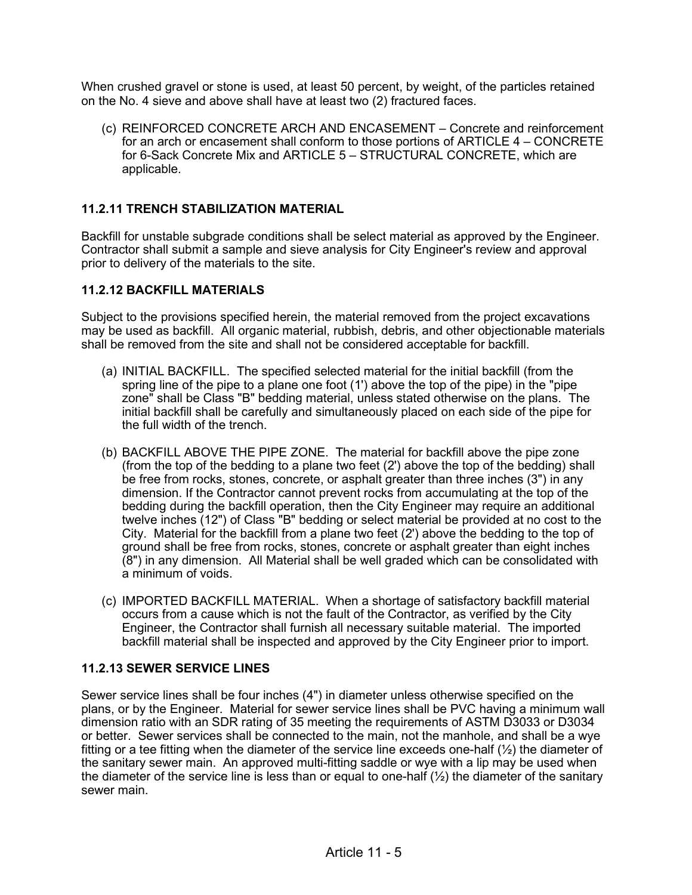When crushed gravel or stone is used, at least 50 percent, by weight, of the particles retained on the No. 4 sieve and above shall have at least two (2) fractured faces.

(c) REINFORCED CONCRETE ARCH AND ENCASEMENT – Concrete and reinforcement for an arch or encasement shall conform to those portions of ARTICLE 4 – CONCRETE for 6-Sack Concrete Mix and ARTICLE 5 – STRUCTURAL CONCRETE, which are applicable.

## **11.2.11 TRENCH STABILIZATION MATERIAL**

Backfill for unstable subgrade conditions shall be select material as approved by the Engineer. Contractor shall submit a sample and sieve analysis for City Engineer's review and approval prior to delivery of the materials to the site.

#### **11.2.12 BACKFILL MATERIALS**

Subject to the provisions specified herein, the material removed from the project excavations may be used as backfill. All organic material, rubbish, debris, and other objectionable materials shall be removed from the site and shall not be considered acceptable for backfill.

- (a) INITIAL BACKFILL. The specified selected material for the initial backfill (from the spring line of the pipe to a plane one foot (1') above the top of the pipe) in the "pipe zone" shall be Class "B" bedding material, unless stated otherwise on the plans. The initial backfill shall be carefully and simultaneously placed on each side of the pipe for the full width of the trench.
- (b) BACKFILL ABOVE THE PIPE ZONE. The material for backfill above the pipe zone (from the top of the bedding to a plane two feet (2') above the top of the bedding) shall be free from rocks, stones, concrete, or asphalt greater than three inches (3") in any dimension. If the Contractor cannot prevent rocks from accumulating at the top of the bedding during the backfill operation, then the City Engineer may require an additional twelve inches (12") of Class "B" bedding or select material be provided at no cost to the City. Material for the backfill from a plane two feet (2') above the bedding to the top of ground shall be free from rocks, stones, concrete or asphalt greater than eight inches (8") in any dimension. All Material shall be well graded which can be consolidated with a minimum of voids.
- (c) IMPORTED BACKFILL MATERIAL. When a shortage of satisfactory backfill material occurs from a cause which is not the fault of the Contractor, as verified by the City Engineer, the Contractor shall furnish all necessary suitable material. The imported backfill material shall be inspected and approved by the City Engineer prior to import.

#### **11.2.13 SEWER SERVICE LINES**

Sewer service lines shall be four inches (4") in diameter unless otherwise specified on the plans, or by the Engineer. Material for sewer service lines shall be PVC having a minimum wall dimension ratio with an SDR rating of 35 meeting the requirements of ASTM D3033 or D3034 or better. Sewer services shall be connected to the main, not the manhole, and shall be a wye fitting or a tee fitting when the diameter of the service line exceeds one-half  $(\frac{1}{2})$  the diameter of the sanitary sewer main. An approved multi-fitting saddle or wye with a lip may be used when the diameter of the service line is less than or equal to one-half  $(\frac{1}{2})$  the diameter of the sanitary sewer main.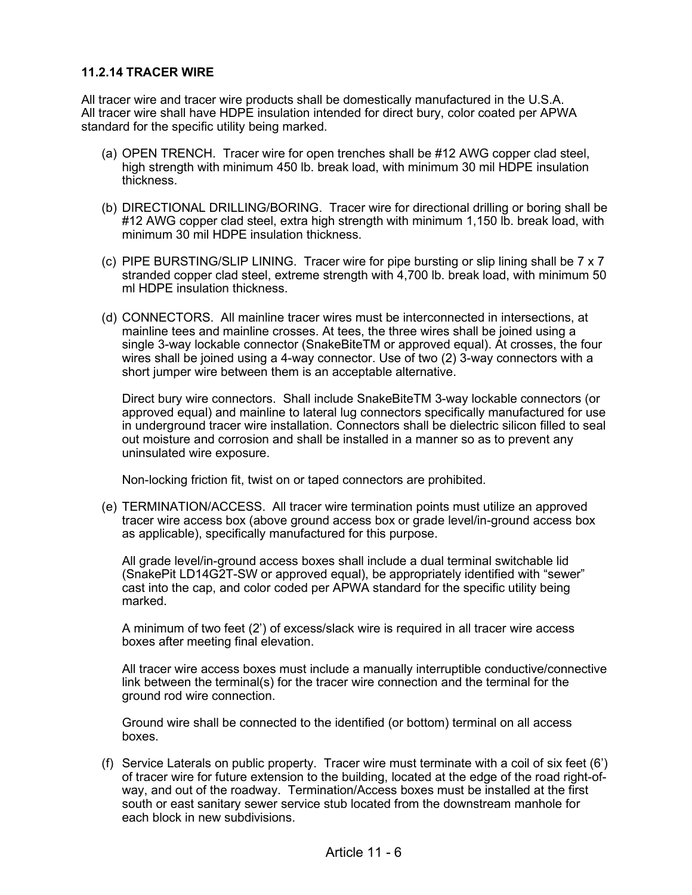#### **11.2.14 TRACER WIRE**

All tracer wire and tracer wire products shall be domestically manufactured in the U.S.A. All tracer wire shall have HDPE insulation intended for direct bury, color coated per APWA standard for the specific utility being marked.

- (a) OPEN TRENCH. Tracer wire for open trenches shall be #12 AWG copper clad steel, high strength with minimum 450 lb. break load, with minimum 30 mil HDPE insulation thickness.
- (b) DIRECTIONAL DRILLING/BORING. Tracer wire for directional drilling or boring shall be #12 AWG copper clad steel, extra high strength with minimum 1,150 lb. break load, with minimum 30 mil HDPE insulation thickness.
- (c) PIPE BURSTING/SLIP LINING. Tracer wire for pipe bursting or slip lining shall be 7 x 7 stranded copper clad steel, extreme strength with 4,700 lb. break load, with minimum 50 ml HDPE insulation thickness.
- (d) CONNECTORS. All mainline tracer wires must be interconnected in intersections, at mainline tees and mainline crosses. At tees, the three wires shall be joined using a single 3-way lockable connector (SnakeBiteTM or approved equal). At crosses, the four wires shall be joined using a 4-way connector. Use of two (2) 3-way connectors with a short jumper wire between them is an acceptable alternative.

Direct bury wire connectors. Shall include SnakeBiteTM 3-way lockable connectors (or approved equal) and mainline to lateral lug connectors specifically manufactured for use in underground tracer wire installation. Connectors shall be dielectric silicon filled to seal out moisture and corrosion and shall be installed in a manner so as to prevent any uninsulated wire exposure.

Non-locking friction fit, twist on or taped connectors are prohibited.

(e) TERMINATION/ACCESS. All tracer wire termination points must utilize an approved tracer wire access box (above ground access box or grade level/in-ground access box as applicable), specifically manufactured for this purpose.

All grade level/in-ground access boxes shall include a dual terminal switchable lid (SnakePit LD14G2T-SW or approved equal), be appropriately identified with "sewer" cast into the cap, and color coded per APWA standard for the specific utility being marked.

A minimum of two feet (2') of excess/slack wire is required in all tracer wire access boxes after meeting final elevation.

All tracer wire access boxes must include a manually interruptible conductive/connective link between the terminal(s) for the tracer wire connection and the terminal for the ground rod wire connection.

Ground wire shall be connected to the identified (or bottom) terminal on all access boxes.

(f) Service Laterals on public property. Tracer wire must terminate with a coil of six feet (6') of tracer wire for future extension to the building, located at the edge of the road right-ofway, and out of the roadway. Termination/Access boxes must be installed at the first south or east sanitary sewer service stub located from the downstream manhole for each block in new subdivisions.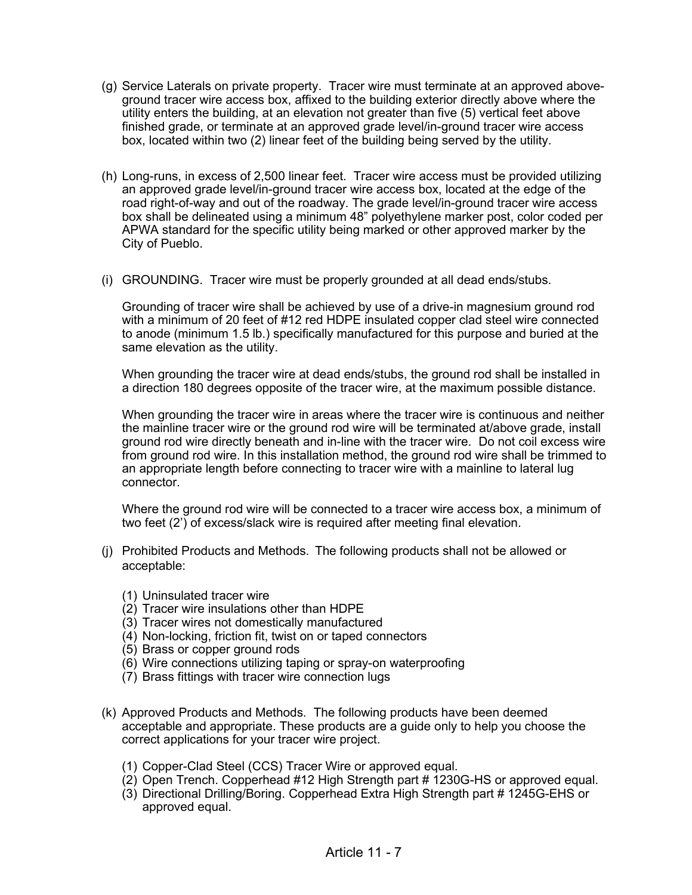- (g) Service Laterals on private property. Tracer wire must terminate at an approved aboveground tracer wire access box, affixed to the building exterior directly above where the utility enters the building, at an elevation not greater than five (5) vertical feet above finished grade, or terminate at an approved grade level/in-ground tracer wire access box, located within two (2) linear feet of the building being served by the utility.
- (h) Long-runs, in excess of 2,500 linear feet. Tracer wire access must be provided utilizing an approved grade level/in-ground tracer wire access box, located at the edge of the road right-of-way and out of the roadway. The grade level/in-ground tracer wire access box shall be delineated using a minimum 48" polyethylene marker post, color coded per APWA standard for the specific utility being marked or other approved marker by the City of Pueblo.
- (i) GROUNDING. Tracer wire must be properly grounded at all dead ends/stubs.

Grounding of tracer wire shall be achieved by use of a drive-in magnesium ground rod with a minimum of 20 feet of #12 red HDPE insulated copper clad steel wire connected to anode (minimum 1.5 lb.) specifically manufactured for this purpose and buried at the same elevation as the utility.

When grounding the tracer wire at dead ends/stubs, the ground rod shall be installed in a direction 180 degrees opposite of the tracer wire, at the maximum possible distance.

When grounding the tracer wire in areas where the tracer wire is continuous and neither the mainline tracer wire or the ground rod wire will be terminated at/above grade, install ground rod wire directly beneath and in-line with the tracer wire. Do not coil excess wire from ground rod wire. In this installation method, the ground rod wire shall be trimmed to an appropriate length before connecting to tracer wire with a mainline to lateral lug connector.

Where the ground rod wire will be connected to a tracer wire access box, a minimum of two feet (2') of excess/slack wire is required after meeting final elevation.

- (j) Prohibited Products and Methods. The following products shall not be allowed or acceptable:
	- (1) Uninsulated tracer wire
	- (2) Tracer wire insulations other than HDPE
	- (3) Tracer wires not domestically manufactured
	- (4) Non-locking, friction fit, twist on or taped connectors
	- (5) Brass or copper ground rods
	- (6) Wire connections utilizing taping or spray-on waterproofing
	- (7) Brass fittings with tracer wire connection lugs
- (k) Approved Products and Methods. The following products have been deemed acceptable and appropriate. These products are a guide only to help you choose the correct applications for your tracer wire project.
	- (1) Copper-Clad Steel (CCS) Tracer Wire or approved equal.
	- (2) Open Trench. Copperhead #12 High Strength part # 1230G-HS or approved equal.
	- (3) Directional Drilling/Boring. Copperhead Extra High Strength part # 1245G-EHS or approved equal.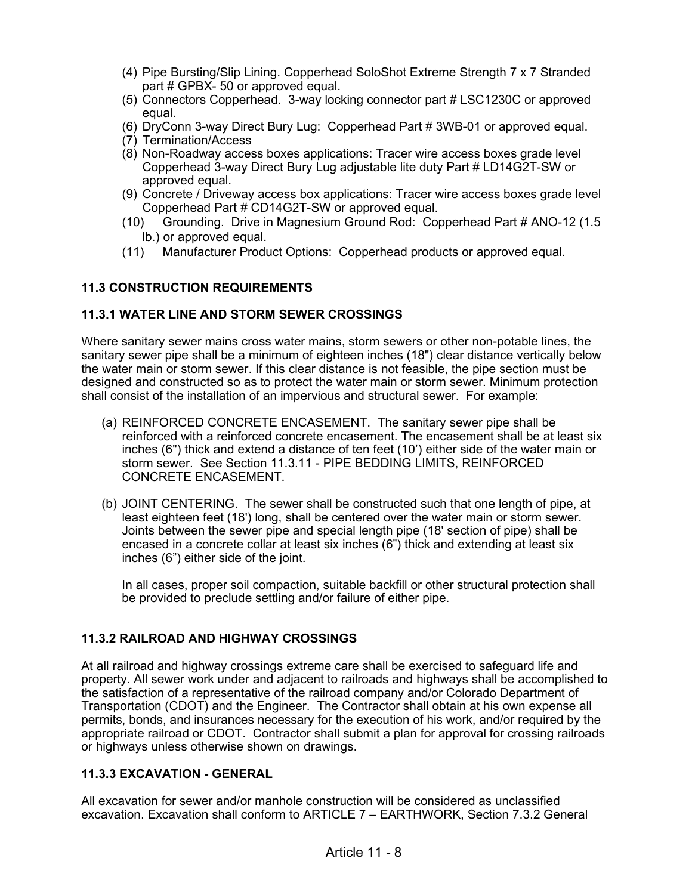- (4) Pipe Bursting/Slip Lining. Copperhead SoloShot Extreme Strength 7 x 7 Stranded part # GPBX- 50 or approved equal.
- (5) Connectors Copperhead. 3-way locking connector part # LSC1230C or approved equal.
- (6) DryConn 3-way Direct Bury Lug: Copperhead Part # 3WB-01 or approved equal.
- (7) Termination/Access
- (8) Non-Roadway access boxes applications: Tracer wire access boxes grade level Copperhead 3-way Direct Bury Lug adjustable lite duty Part # LD14G2T-SW or approved equal.
- (9) Concrete / Driveway access box applications: Tracer wire access boxes grade level Copperhead Part # CD14G2T-SW or approved equal.
- (10) Grounding. Drive in Magnesium Ground Rod: Copperhead Part # ANO-12 (1.5 lb.) or approved equal.
- (11) Manufacturer Product Options: Copperhead products or approved equal.

### **11.3 CONSTRUCTION REQUIREMENTS**

### **11.3.1 WATER LINE AND STORM SEWER CROSSINGS**

Where sanitary sewer mains cross water mains, storm sewers or other non-potable lines, the sanitary sewer pipe shall be a minimum of eighteen inches (18") clear distance vertically below the water main or storm sewer. If this clear distance is not feasible, the pipe section must be designed and constructed so as to protect the water main or storm sewer. Minimum protection shall consist of the installation of an impervious and structural sewer. For example:

- (a) REINFORCED CONCRETE ENCASEMENT. The sanitary sewer pipe shall be reinforced with a reinforced concrete encasement. The encasement shall be at least six inches (6") thick and extend a distance of ten feet (10') either side of the water main or storm sewer. See Section 11.3.11 - PIPE BEDDING LIMITS, REINFORCED CONCRETE ENCASEMENT.
- (b) JOINT CENTERING. The sewer shall be constructed such that one length of pipe, at least eighteen feet (18') long, shall be centered over the water main or storm sewer. Joints between the sewer pipe and special length pipe (18' section of pipe) shall be encased in a concrete collar at least six inches (6") thick and extending at least six inches (6") either side of the joint.

In all cases, proper soil compaction, suitable backfill or other structural protection shall be provided to preclude settling and/or failure of either pipe.

### **11.3.2 RAILROAD AND HIGHWAY CROSSINGS**

At all railroad and highway crossings extreme care shall be exercised to safeguard life and property. All sewer work under and adjacent to railroads and highways shall be accomplished to the satisfaction of a representative of the railroad company and/or Colorado Department of Transportation (CDOT) and the Engineer. The Contractor shall obtain at his own expense all permits, bonds, and insurances necessary for the execution of his work, and/or required by the appropriate railroad or CDOT. Contractor shall submit a plan for approval for crossing railroads or highways unless otherwise shown on drawings.

### **11.3.3 EXCAVATION - GENERAL**

All excavation for sewer and/or manhole construction will be considered as unclassified excavation. Excavation shall conform to ARTICLE 7 – EARTHWORK, Section 7.3.2 General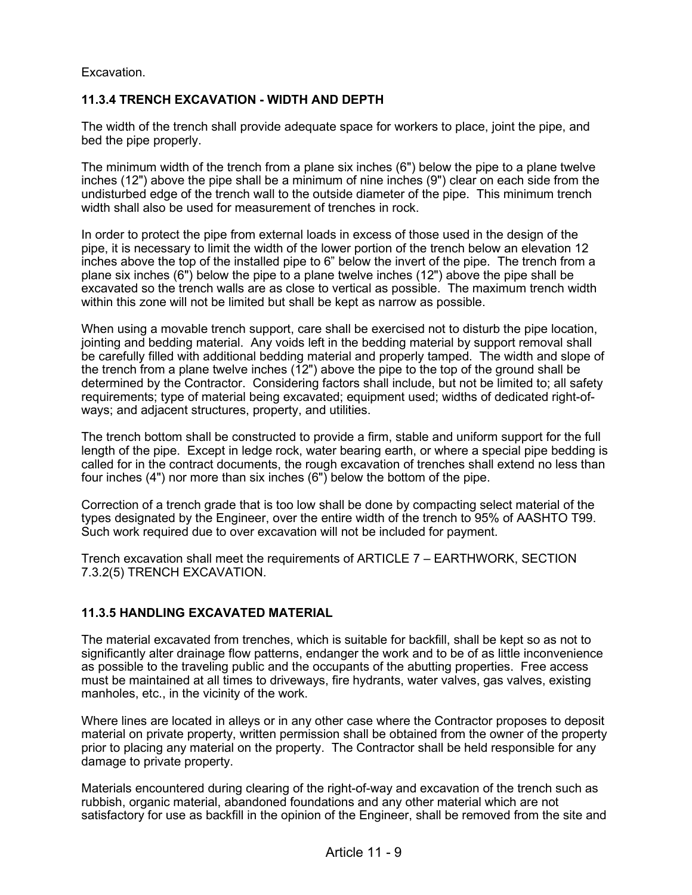Excavation.

## **11.3.4 TRENCH EXCAVATION - WIDTH AND DEPTH**

The width of the trench shall provide adequate space for workers to place, joint the pipe, and bed the pipe properly.

The minimum width of the trench from a plane six inches (6") below the pipe to a plane twelve inches (12") above the pipe shall be a minimum of nine inches (9") clear on each side from the undisturbed edge of the trench wall to the outside diameter of the pipe. This minimum trench width shall also be used for measurement of trenches in rock.

In order to protect the pipe from external loads in excess of those used in the design of the pipe, it is necessary to limit the width of the lower portion of the trench below an elevation 12 inches above the top of the installed pipe to 6" below the invert of the pipe. The trench from a plane six inches (6") below the pipe to a plane twelve inches (12") above the pipe shall be excavated so the trench walls are as close to vertical as possible. The maximum trench width within this zone will not be limited but shall be kept as narrow as possible.

When using a movable trench support, care shall be exercised not to disturb the pipe location, jointing and bedding material. Any voids left in the bedding material by support removal shall be carefully filled with additional bedding material and properly tamped. The width and slope of the trench from a plane twelve inches (12") above the pipe to the top of the ground shall be determined by the Contractor. Considering factors shall include, but not be limited to; all safety requirements; type of material being excavated; equipment used; widths of dedicated right-ofways; and adjacent structures, property, and utilities.

The trench bottom shall be constructed to provide a firm, stable and uniform support for the full length of the pipe. Except in ledge rock, water bearing earth, or where a special pipe bedding is called for in the contract documents, the rough excavation of trenches shall extend no less than four inches (4") nor more than six inches (6") below the bottom of the pipe.

Correction of a trench grade that is too low shall be done by compacting select material of the types designated by the Engineer, over the entire width of the trench to 95% of AASHTO T99. Such work required due to over excavation will not be included for payment.

Trench excavation shall meet the requirements of ARTICLE 7 – EARTHWORK, SECTION 7.3.2(5) TRENCH EXCAVATION.

### **11.3.5 HANDLING EXCAVATED MATERIAL**

The material excavated from trenches, which is suitable for backfill, shall be kept so as not to significantly alter drainage flow patterns, endanger the work and to be of as little inconvenience as possible to the traveling public and the occupants of the abutting properties. Free access must be maintained at all times to driveways, fire hydrants, water valves, gas valves, existing manholes, etc., in the vicinity of the work.

Where lines are located in alleys or in any other case where the Contractor proposes to deposit material on private property, written permission shall be obtained from the owner of the property prior to placing any material on the property. The Contractor shall be held responsible for any damage to private property.

Materials encountered during clearing of the right-of-way and excavation of the trench such as rubbish, organic material, abandoned foundations and any other material which are not satisfactory for use as backfill in the opinion of the Engineer, shall be removed from the site and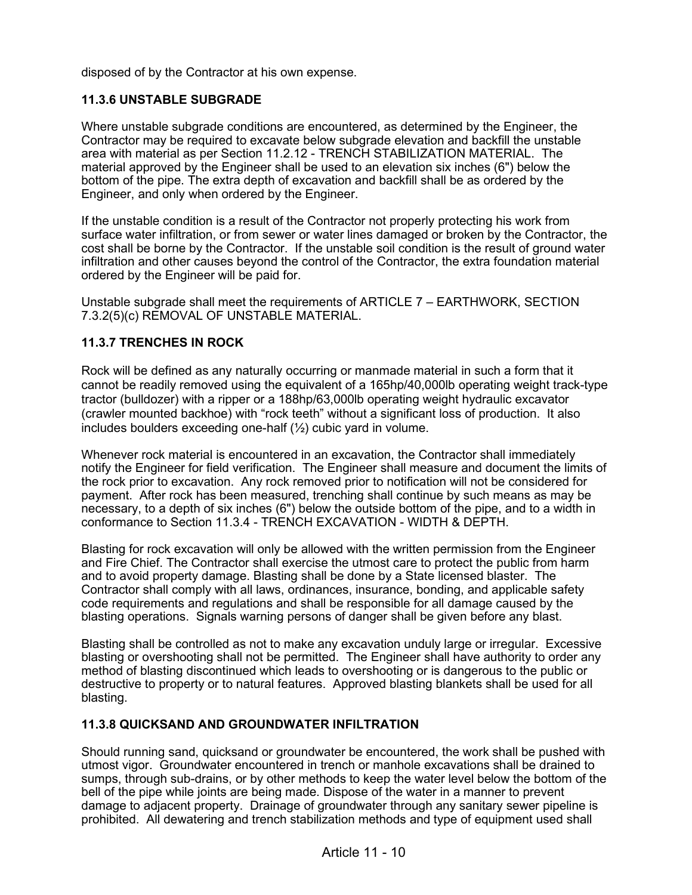disposed of by the Contractor at his own expense.

## **11.3.6 UNSTABLE SUBGRADE**

Where unstable subgrade conditions are encountered, as determined by the Engineer, the Contractor may be required to excavate below subgrade elevation and backfill the unstable area with material as per Section 11.2.12 - TRENCH STABILIZATION MATERIAL. The material approved by the Engineer shall be used to an elevation six inches (6") below the bottom of the pipe. The extra depth of excavation and backfill shall be as ordered by the Engineer, and only when ordered by the Engineer.

If the unstable condition is a result of the Contractor not properly protecting his work from surface water infiltration, or from sewer or water lines damaged or broken by the Contractor, the cost shall be borne by the Contractor. If the unstable soil condition is the result of ground water infiltration and other causes beyond the control of the Contractor, the extra foundation material ordered by the Engineer will be paid for.

Unstable subgrade shall meet the requirements of ARTICLE 7 – EARTHWORK, SECTION 7.3.2(5)(c) REMOVAL OF UNSTABLE MATERIAL.

## **11.3.7 TRENCHES IN ROCK**

Rock will be defined as any naturally occurring or manmade material in such a form that it cannot be readily removed using the equivalent of a 165hp/40,000lb operating weight track-type tractor (bulldozer) with a ripper or a 188hp/63,000lb operating weight hydraulic excavator (crawler mounted backhoe) with "rock teeth" without a significant loss of production. It also includes boulders exceeding one-half (½) cubic yard in volume.

Whenever rock material is encountered in an excavation, the Contractor shall immediately notify the Engineer for field verification. The Engineer shall measure and document the limits of the rock prior to excavation. Any rock removed prior to notification will not be considered for payment. After rock has been measured, trenching shall continue by such means as may be necessary, to a depth of six inches (6") below the outside bottom of the pipe, and to a width in conformance to Section 11.3.4 - TRENCH EXCAVATION - WIDTH & DEPTH.

Blasting for rock excavation will only be allowed with the written permission from the Engineer and Fire Chief. The Contractor shall exercise the utmost care to protect the public from harm and to avoid property damage. Blasting shall be done by a State licensed blaster. The Contractor shall comply with all laws, ordinances, insurance, bonding, and applicable safety code requirements and regulations and shall be responsible for all damage caused by the blasting operations. Signals warning persons of danger shall be given before any blast.

Blasting shall be controlled as not to make any excavation unduly large or irregular. Excessive blasting or overshooting shall not be permitted. The Engineer shall have authority to order any method of blasting discontinued which leads to overshooting or is dangerous to the public or destructive to property or to natural features. Approved blasting blankets shall be used for all blasting.

### **11.3.8 QUICKSAND AND GROUNDWATER INFILTRATION**

Should running sand, quicksand or groundwater be encountered, the work shall be pushed with utmost vigor. Groundwater encountered in trench or manhole excavations shall be drained to sumps, through sub-drains, or by other methods to keep the water level below the bottom of the bell of the pipe while joints are being made. Dispose of the water in a manner to prevent damage to adjacent property. Drainage of groundwater through any sanitary sewer pipeline is prohibited. All dewatering and trench stabilization methods and type of equipment used shall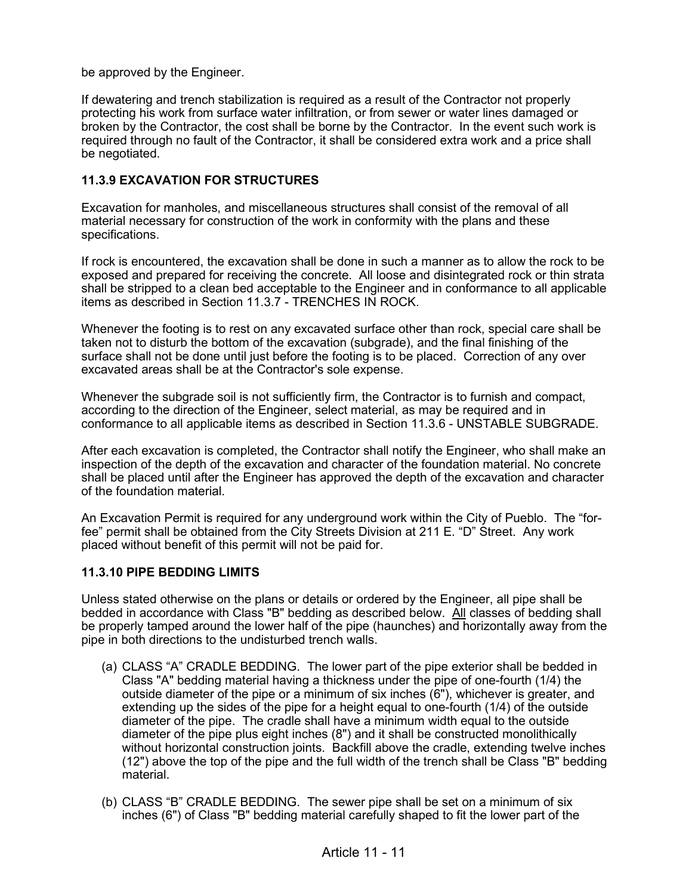be approved by the Engineer.

If dewatering and trench stabilization is required as a result of the Contractor not properly protecting his work from surface water infiltration, or from sewer or water lines damaged or broken by the Contractor, the cost shall be borne by the Contractor. In the event such work is required through no fault of the Contractor, it shall be considered extra work and a price shall be negotiated.

## **11.3.9 EXCAVATION FOR STRUCTURES**

Excavation for manholes, and miscellaneous structures shall consist of the removal of all material necessary for construction of the work in conformity with the plans and these specifications.

If rock is encountered, the excavation shall be done in such a manner as to allow the rock to be exposed and prepared for receiving the concrete. All loose and disintegrated rock or thin strata shall be stripped to a clean bed acceptable to the Engineer and in conformance to all applicable items as described in Section 11.3.7 - TRENCHES IN ROCK.

Whenever the footing is to rest on any excavated surface other than rock, special care shall be taken not to disturb the bottom of the excavation (subgrade), and the final finishing of the surface shall not be done until just before the footing is to be placed. Correction of any over excavated areas shall be at the Contractor's sole expense.

Whenever the subgrade soil is not sufficiently firm, the Contractor is to furnish and compact, according to the direction of the Engineer, select material, as may be required and in conformance to all applicable items as described in Section 11.3.6 - UNSTABLE SUBGRADE.

After each excavation is completed, the Contractor shall notify the Engineer, who shall make an inspection of the depth of the excavation and character of the foundation material. No concrete shall be placed until after the Engineer has approved the depth of the excavation and character of the foundation material.

An Excavation Permit is required for any underground work within the City of Pueblo. The "forfee" permit shall be obtained from the City Streets Division at 211 E. "D" Street. Any work placed without benefit of this permit will not be paid for.

### **11.3.10 PIPE BEDDING LIMITS**

Unless stated otherwise on the plans or details or ordered by the Engineer, all pipe shall be bedded in accordance with Class "B" bedding as described below. All classes of bedding shall be properly tamped around the lower half of the pipe (haunches) and horizontally away from the pipe in both directions to the undisturbed trench walls.

- (a) CLASS "A" CRADLE BEDDING. The lower part of the pipe exterior shall be bedded in Class "A" bedding material having a thickness under the pipe of one-fourth (1/4) the outside diameter of the pipe or a minimum of six inches (6"), whichever is greater, and extending up the sides of the pipe for a height equal to one-fourth (1/4) of the outside diameter of the pipe. The cradle shall have a minimum width equal to the outside diameter of the pipe plus eight inches (8") and it shall be constructed monolithically without horizontal construction joints. Backfill above the cradle, extending twelve inches (12") above the top of the pipe and the full width of the trench shall be Class "B" bedding material.
- (b) CLASS "B" CRADLE BEDDING. The sewer pipe shall be set on a minimum of six inches (6") of Class "B" bedding material carefully shaped to fit the lower part of the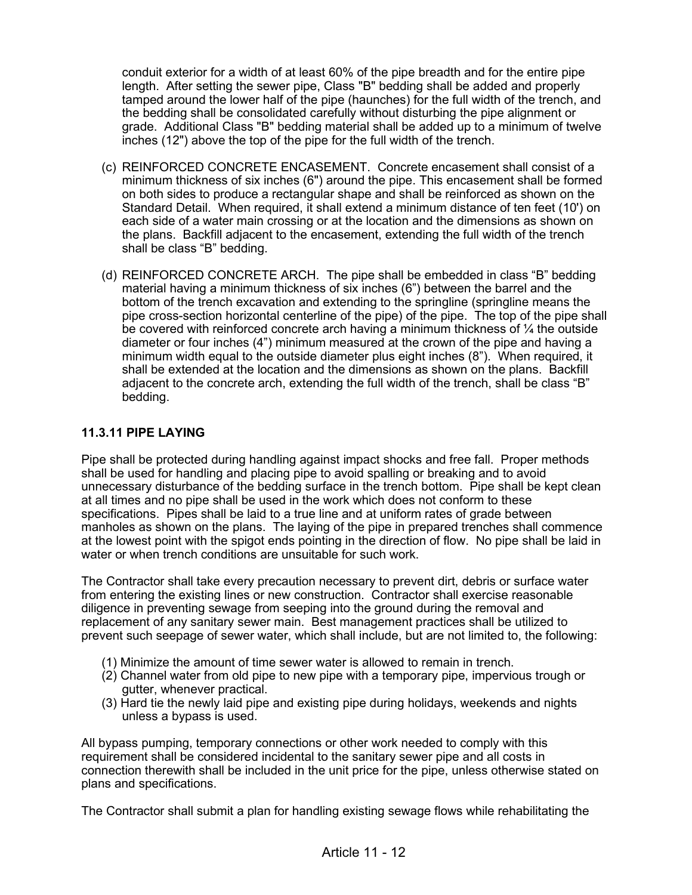conduit exterior for a width of at least 60% of the pipe breadth and for the entire pipe length. After setting the sewer pipe, Class "B" bedding shall be added and properly tamped around the lower half of the pipe (haunches) for the full width of the trench, and the bedding shall be consolidated carefully without disturbing the pipe alignment or grade. Additional Class "B" bedding material shall be added up to a minimum of twelve inches (12") above the top of the pipe for the full width of the trench.

- (c) REINFORCED CONCRETE ENCASEMENT. Concrete encasement shall consist of a minimum thickness of six inches (6") around the pipe. This encasement shall be formed on both sides to produce a rectangular shape and shall be reinforced as shown on the Standard Detail. When required, it shall extend a minimum distance of ten feet (10') on each side of a water main crossing or at the location and the dimensions as shown on the plans. Backfill adjacent to the encasement, extending the full width of the trench shall be class "B" bedding.
- (d) REINFORCED CONCRETE ARCH. The pipe shall be embedded in class "B" bedding material having a minimum thickness of six inches (6") between the barrel and the bottom of the trench excavation and extending to the springline (springline means the pipe cross-section horizontal centerline of the pipe) of the pipe. The top of the pipe shall be covered with reinforced concrete arch having a minimum thickness of  $\frac{1}{4}$  the outside diameter or four inches (4") minimum measured at the crown of the pipe and having a minimum width equal to the outside diameter plus eight inches (8"). When required, it shall be extended at the location and the dimensions as shown on the plans. Backfill adjacent to the concrete arch, extending the full width of the trench, shall be class "B" bedding.

## **11.3.11 PIPE LAYING**

Pipe shall be protected during handling against impact shocks and free fall. Proper methods shall be used for handling and placing pipe to avoid spalling or breaking and to avoid unnecessary disturbance of the bedding surface in the trench bottom. Pipe shall be kept clean at all times and no pipe shall be used in the work which does not conform to these specifications. Pipes shall be laid to a true line and at uniform rates of grade between manholes as shown on the plans. The laying of the pipe in prepared trenches shall commence at the lowest point with the spigot ends pointing in the direction of flow. No pipe shall be laid in water or when trench conditions are unsuitable for such work.

The Contractor shall take every precaution necessary to prevent dirt, debris or surface water from entering the existing lines or new construction. Contractor shall exercise reasonable diligence in preventing sewage from seeping into the ground during the removal and replacement of any sanitary sewer main. Best management practices shall be utilized to prevent such seepage of sewer water, which shall include, but are not limited to, the following:

- (1) Minimize the amount of time sewer water is allowed to remain in trench.
- $(2)$  Channel water from old pipe to new pipe with a temporary pipe, impervious trough or gutter, whenever practical.
- (3) Hard tie the newly laid pipe and existing pipe during holidays, weekends and nights unless a bypass is used.

All bypass pumping, temporary connections or other work needed to comply with this requirement shall be considered incidental to the sanitary sewer pipe and all costs in connection therewith shall be included in the unit price for the pipe, unless otherwise stated on plans and specifications.

The Contractor shall submit a plan for handling existing sewage flows while rehabilitating the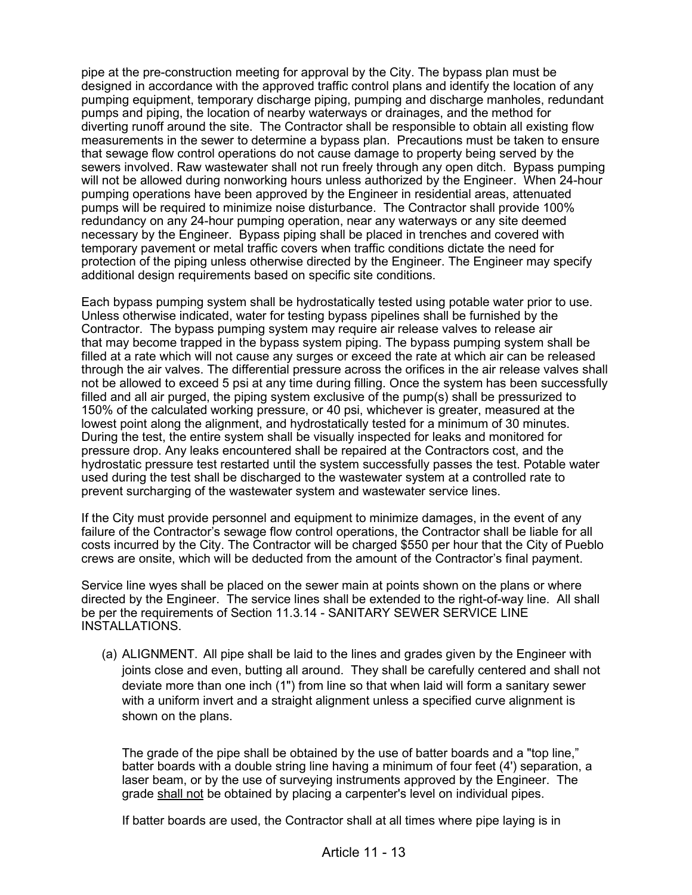pipe at the pre-construction meeting for approval by the City. The bypass plan must be designed in accordance with the approved traffic control plans and identify the location of any pumping equipment, temporary discharge piping, pumping and discharge manholes, redundant pumps and piping, the location of nearby waterways or drainages, and the method for diverting runoff around the site. The Contractor shall be responsible to obtain all existing flow measurements in the sewer to determine a bypass plan. Precautions must be taken to ensure that sewage flow control operations do not cause damage to property being served by the sewers involved. Raw wastewater shall not run freely through any open ditch. Bypass pumping will not be allowed during nonworking hours unless authorized by the Engineer. When 24-hour pumping operations have been approved by the Engineer in residential areas, attenuated pumps will be required to minimize noise disturbance. The Contractor shall provide 100% redundancy on any 24-hour pumping operation, near any waterways or any site deemed necessary by the Engineer. Bypass piping shall be placed in trenches and covered with temporary pavement or metal traffic covers when traffic conditions dictate the need for protection of the piping unless otherwise directed by the Engineer. The Engineer may specify additional design requirements based on specific site conditions.

Each bypass pumping system shall be hydrostatically tested using potable water prior to use. Unless otherwise indicated, water for testing bypass pipelines shall be furnished by the Contractor. The bypass pumping system may require air release valves to release air that may become trapped in the bypass system piping. The bypass pumping system shall be filled at a rate which will not cause any surges or exceed the rate at which air can be released through the air valves. The differential pressure across the orifices in the air release valves shall not be allowed to exceed 5 psi at any time during filling. Once the system has been successfully filled and all air purged, the piping system exclusive of the pump(s) shall be pressurized to 150% of the calculated working pressure, or 40 psi, whichever is greater, measured at the lowest point along the alignment, and hydrostatically tested for a minimum of 30 minutes. During the test, the entire system shall be visually inspected for leaks and monitored for pressure drop. Any leaks encountered shall be repaired at the Contractors cost, and the hydrostatic pressure test restarted until the system successfully passes the test. Potable water used during the test shall be discharged to the wastewater system at a controlled rate to prevent surcharging of the wastewater system and wastewater service lines.

If the City must provide personnel and equipment to minimize damages, in the event of any failure of the Contractor's sewage flow control operations, the Contractor shall be liable for all costs incurred by the City. The Contractor will be charged \$550 per hour that the City of Pueblo crews are onsite, which will be deducted from the amount of the Contractor's final payment.

Service line wyes shall be placed on the sewer main at points shown on the plans or where directed by the Engineer. The service lines shall be extended to the right-of-way line. All shall be per the requirements of Section 11.3.14 - SANITARY SEWER SERVICE LINE INSTALLATIONS.

(a) ALIGNMENT. All pipe shall be laid to the lines and grades given by the Engineer with joints close and even, butting all around. They shall be carefully centered and shall not deviate more than one inch (1") from line so that when laid will form a sanitary sewer with a uniform invert and a straight alignment unless a specified curve alignment is shown on the plans.

The grade of the pipe shall be obtained by the use of batter boards and a "top line," batter boards with a double string line having a minimum of four feet (4') separation, a laser beam, or by the use of surveying instruments approved by the Engineer. The grade shall not be obtained by placing a carpenter's level on individual pipes.

If batter boards are used, the Contractor shall at all times where pipe laying is in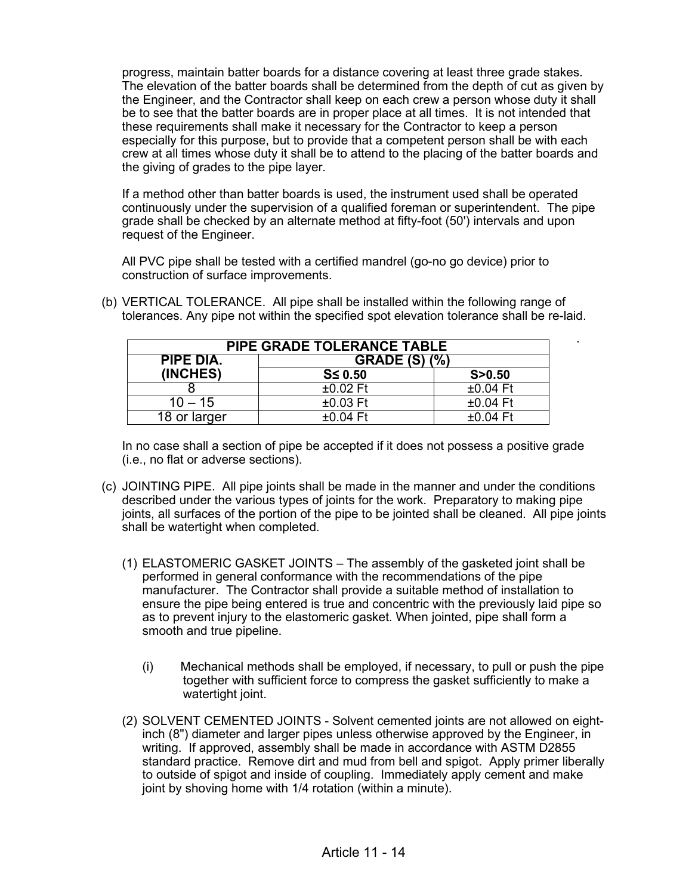progress, maintain batter boards for a distance covering at least three grade stakes. The elevation of the batter boards shall be determined from the depth of cut as given by the Engineer, and the Contractor shall keep on each crew a person whose duty it shall be to see that the batter boards are in proper place at all times. It is not intended that these requirements shall make it necessary for the Contractor to keep a person especially for this purpose, but to provide that a competent person shall be with each crew at all times whose duty it shall be to attend to the placing of the batter boards and the giving of grades to the pipe layer.

If a method other than batter boards is used, the instrument used shall be operated continuously under the supervision of a qualified foreman or superintendent. The pipe grade shall be checked by an alternate method at fifty-foot (50') intervals and upon request of the Engineer.

All PVC pipe shall be tested with a certified mandrel (go-no go device) prior to construction of surface improvements.

| <b>PIPE GRADE TOLERANCE TABLE</b> |                      |            |  |
|-----------------------------------|----------------------|------------|--|
| PIPE DIA.                         | <b>GRADE (S) (%)</b> |            |  |
| (INCHES)                          | $S \leq 0.50$        | S > 0.50   |  |
|                                   | $±0.02$ Ft           | $±0.04$ Ft |  |
| $10 - 15$                         | $±0.03$ Ft           | $±0.04$ Ft |  |
| 18 or larger                      | $±0.04$ Ft           | $±0.04$ Ft |  |

(b) VERTICAL TOLERANCE. All pipe shall be installed within the following range of tolerances. Any pipe not within the specified spot elevation tolerance shall be re-laid.

.

In no case shall a section of pipe be accepted if it does not possess a positive grade (i.e., no flat or adverse sections).

- (c) JOINTING PIPE. All pipe joints shall be made in the manner and under the conditions described under the various types of joints for the work. Preparatory to making pipe joints, all surfaces of the portion of the pipe to be jointed shall be cleaned. All pipe joints shall be watertight when completed.
	- (1) ELASTOMERIC GASKET JOINTS The assembly of the gasketed joint shall be performed in general conformance with the recommendations of the pipe manufacturer. The Contractor shall provide a suitable method of installation to ensure the pipe being entered is true and concentric with the previously laid pipe so as to prevent injury to the elastomeric gasket. When jointed, pipe shall form a smooth and true pipeline.
		- (i) Mechanical methods shall be employed, if necessary, to pull or push the pipe together with sufficient force to compress the gasket sufficiently to make a watertight joint.
	- (2) SOLVENT CEMENTED JOINTS Solvent cemented joints are not allowed on eightinch (8") diameter and larger pipes unless otherwise approved by the Engineer, in writing. If approved, assembly shall be made in accordance with ASTM D2855 standard practice. Remove dirt and mud from bell and spigot. Apply primer liberally to outside of spigot and inside of coupling. Immediately apply cement and make joint by shoving home with 1/4 rotation (within a minute).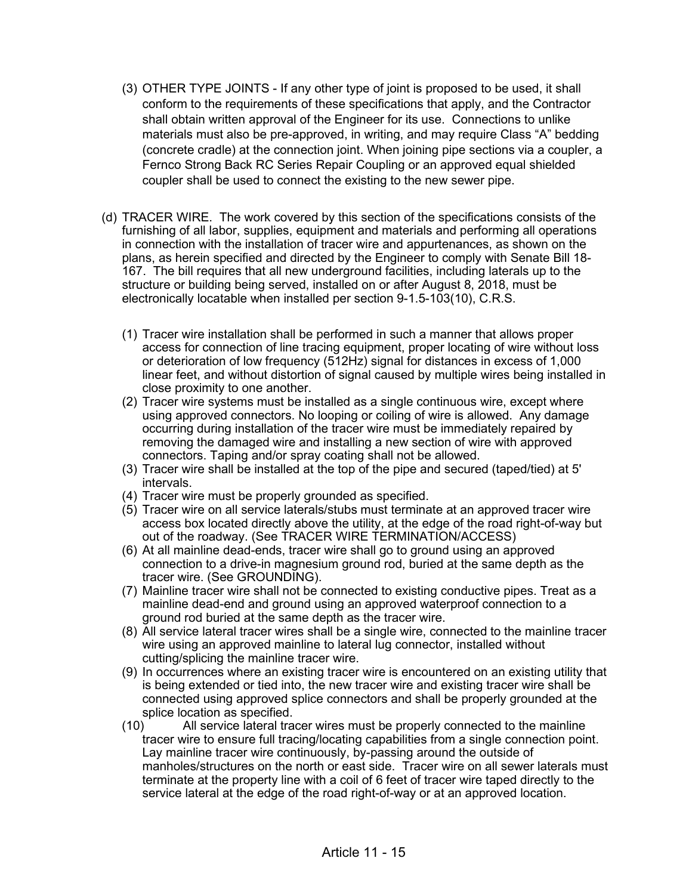- (3) OTHER TYPE JOINTS If any other type of joint is proposed to be used, it shall conform to the requirements of these specifications that apply, and the Contractor shall obtain written approval of the Engineer for its use. Connections to unlike materials must also be pre-approved, in writing, and may require Class "A" bedding (concrete cradle) at the connection joint. When joining pipe sections via a coupler, a Fernco Strong Back RC Series Repair Coupling or an approved equal shielded coupler shall be used to connect the existing to the new sewer pipe.
- (d) TRACER WIRE. The work covered by this section of the specifications consists of the furnishing of all labor, supplies, equipment and materials and performing all operations in connection with the installation of tracer wire and appurtenances, as shown on the plans, as herein specified and directed by the Engineer to comply with Senate Bill 18- 167. The bill requires that all new underground facilities, including laterals up to the structure or building being served, installed on or after August 8, 2018, must be electronically locatable when installed per section 9-1.5-103(10), C.R.S.
	- (1) Tracer wire installation shall be performed in such a manner that allows proper access for connection of line tracing equipment, proper locating of wire without loss or deterioration of low frequency (512Hz) signal for distances in excess of 1,000 linear feet, and without distortion of signal caused by multiple wires being installed in close proximity to one another.
	- (2) Tracer wire systems must be installed as a single continuous wire, except where using approved connectors. No looping or coiling of wire is allowed. Any damage occurring during installation of the tracer wire must be immediately repaired by removing the damaged wire and installing a new section of wire with approved connectors. Taping and/or spray coating shall not be allowed.
	- (3) Tracer wire shall be installed at the top of the pipe and secured (taped/tied) at 5' intervals.
	- (4) Tracer wire must be properly grounded as specified.
	- (5) Tracer wire on all service laterals/stubs must terminate at an approved tracer wire access box located directly above the utility, at the edge of the road right-of-way but out of the roadway. (See TRACER WIRE TERMINATION/ACCESS)
	- (6) At all mainline dead-ends, tracer wire shall go to ground using an approved connection to a drive-in magnesium ground rod, buried at the same depth as the tracer wire. (See GROUNDING).
	- (7) Mainline tracer wire shall not be connected to existing conductive pipes. Treat as a mainline dead-end and ground using an approved waterproof connection to a ground rod buried at the same depth as the tracer wire.
	- (8) All service lateral tracer wires shall be a single wire, connected to the mainline tracer wire using an approved mainline to lateral lug connector, installed without cutting/splicing the mainline tracer wire.
	- (9) In occurrences where an existing tracer wire is encountered on an existing utility that is being extended or tied into, the new tracer wire and existing tracer wire shall be connected using approved splice connectors and shall be properly grounded at the splice location as specified.<br>(10) All service lateral tra
	- All service lateral tracer wires must be properly connected to the mainline tracer wire to ensure full tracing/locating capabilities from a single connection point. Lay mainline tracer wire continuously, by-passing around the outside of manholes/structures on the north or east side. Tracer wire on all sewer laterals must terminate at the property line with a coil of 6 feet of tracer wire taped directly to the service lateral at the edge of the road right-of-way or at an approved location.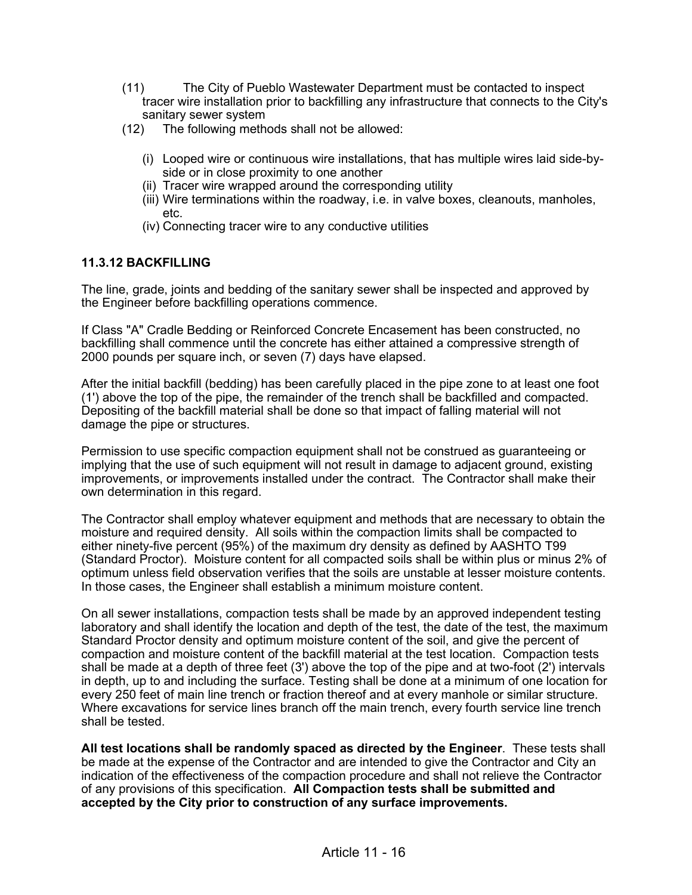- (11) The City of Pueblo Wastewater Department must be contacted to inspect tracer wire installation prior to backfilling any infrastructure that connects to the City's sanitary sewer system
- (12) The following methods shall not be allowed:
	- (i) Looped wire or continuous wire installations, that has multiple wires laid side-byside or in close proximity to one another
	- (ii) Tracer wire wrapped around the corresponding utility
	- (iii) Wire terminations within the roadway, i.e. in valve boxes, cleanouts, manholes, etc.
	- (iv) Connecting tracer wire to any conductive utilities

#### **11.3.12 BACKFILLING**

The line, grade, joints and bedding of the sanitary sewer shall be inspected and approved by the Engineer before backfilling operations commence.

If Class "A" Cradle Bedding or Reinforced Concrete Encasement has been constructed, no backfilling shall commence until the concrete has either attained a compressive strength of 2000 pounds per square inch, or seven (7) days have elapsed.

After the initial backfill (bedding) has been carefully placed in the pipe zone to at least one foot (1') above the top of the pipe, the remainder of the trench shall be backfilled and compacted. Depositing of the backfill material shall be done so that impact of falling material will not damage the pipe or structures.

Permission to use specific compaction equipment shall not be construed as guaranteeing or implying that the use of such equipment will not result in damage to adjacent ground, existing improvements, or improvements installed under the contract. The Contractor shall make their own determination in this regard.

The Contractor shall employ whatever equipment and methods that are necessary to obtain the moisture and required density. All soils within the compaction limits shall be compacted to either ninety-five percent (95%) of the maximum dry density as defined by AASHTO T99 (Standard Proctor). Moisture content for all compacted soils shall be within plus or minus 2% of optimum unless field observation verifies that the soils are unstable at lesser moisture contents. In those cases, the Engineer shall establish a minimum moisture content.

On all sewer installations, compaction tests shall be made by an approved independent testing laboratory and shall identify the location and depth of the test, the date of the test, the maximum Standard Proctor density and optimum moisture content of the soil, and give the percent of compaction and moisture content of the backfill material at the test location. Compaction tests shall be made at a depth of three feet (3') above the top of the pipe and at two-foot (2') intervals in depth, up to and including the surface. Testing shall be done at a minimum of one location for every 250 feet of main line trench or fraction thereof and at every manhole or similar structure. Where excavations for service lines branch off the main trench, every fourth service line trench shall be tested.

**All test locations shall be randomly spaced as directed by the Engineer**. These tests shall be made at the expense of the Contractor and are intended to give the Contractor and City an indication of the effectiveness of the compaction procedure and shall not relieve the Contractor of any provisions of this specification. **All Compaction tests shall be submitted and accepted by the City prior to construction of any surface improvements.**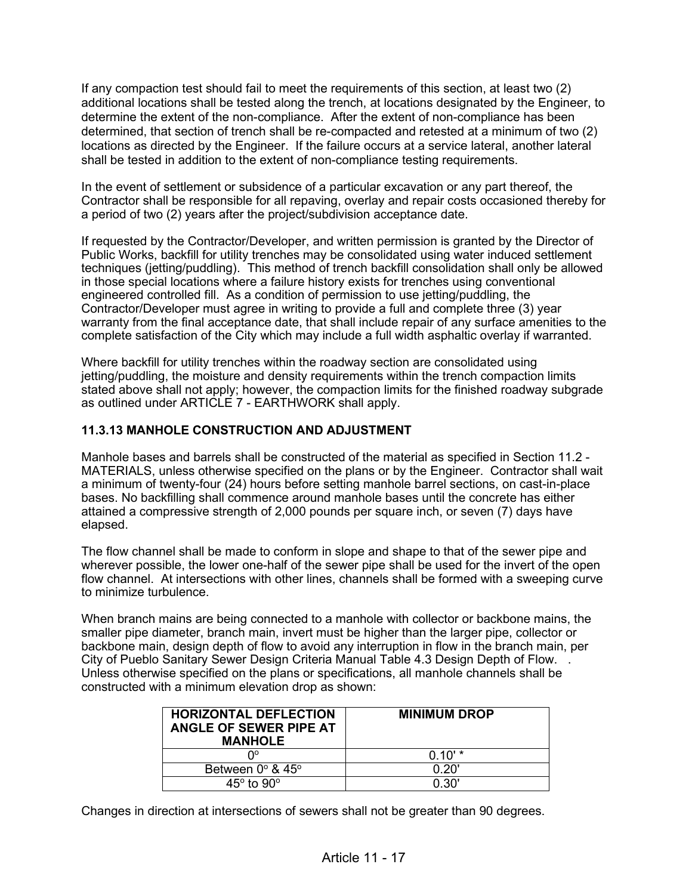If any compaction test should fail to meet the requirements of this section, at least two (2) additional locations shall be tested along the trench, at locations designated by the Engineer, to determine the extent of the non-compliance. After the extent of non-compliance has been determined, that section of trench shall be re-compacted and retested at a minimum of two (2) locations as directed by the Engineer. If the failure occurs at a service lateral, another lateral shall be tested in addition to the extent of non-compliance testing requirements.

In the event of settlement or subsidence of a particular excavation or any part thereof, the Contractor shall be responsible for all repaving, overlay and repair costs occasioned thereby for a period of two (2) years after the project/subdivision acceptance date.

If requested by the Contractor/Developer, and written permission is granted by the Director of Public Works, backfill for utility trenches may be consolidated using water induced settlement techniques (jetting/puddling). This method of trench backfill consolidation shall only be allowed in those special locations where a failure history exists for trenches using conventional engineered controlled fill. As a condition of permission to use jetting/puddling, the Contractor/Developer must agree in writing to provide a full and complete three (3) year warranty from the final acceptance date, that shall include repair of any surface amenities to the complete satisfaction of the City which may include a full width asphaltic overlay if warranted.

Where backfill for utility trenches within the roadway section are consolidated using jetting/puddling, the moisture and density requirements within the trench compaction limits stated above shall not apply; however, the compaction limits for the finished roadway subgrade as outlined under ARTICLE 7 - EARTHWORK shall apply.

### **11.3.13 MANHOLE CONSTRUCTION AND ADJUSTMENT**

Manhole bases and barrels shall be constructed of the material as specified in Section 11.2 - MATERIALS, unless otherwise specified on the plans or by the Engineer. Contractor shall wait a minimum of twenty-four (24) hours before setting manhole barrel sections, on cast-in-place bases. No backfilling shall commence around manhole bases until the concrete has either attained a compressive strength of 2,000 pounds per square inch, or seven (7) days have elapsed.

The flow channel shall be made to conform in slope and shape to that of the sewer pipe and wherever possible, the lower one-half of the sewer pipe shall be used for the invert of the open flow channel. At intersections with other lines, channels shall be formed with a sweeping curve to minimize turbulence.

When branch mains are being connected to a manhole with collector or backbone mains, the smaller pipe diameter, branch main, invert must be higher than the larger pipe, collector or backbone main, design depth of flow to avoid any interruption in flow in the branch main, per City of Pueblo Sanitary Sewer Design Criteria Manual Table 4.3 Design Depth of Flow. . Unless otherwise specified on the plans or specifications, all manhole channels shall be constructed with a minimum elevation drop as shown:

| <b>HORIZONTAL DEFLECTION</b><br>ANGLE OF SEWER PIPE AT<br><b>MANHOLE</b> | <b>MINIMUM DROP</b> |  |
|--------------------------------------------------------------------------|---------------------|--|
| ∩∘                                                                       | $0.10'$ *           |  |
| Between $0^\circ$ & $45^\circ$                                           | 0.20'               |  |
| $45^\circ$ to $90^\circ$                                                 | በ 30'               |  |

Changes in direction at intersections of sewers shall not be greater than 90 degrees.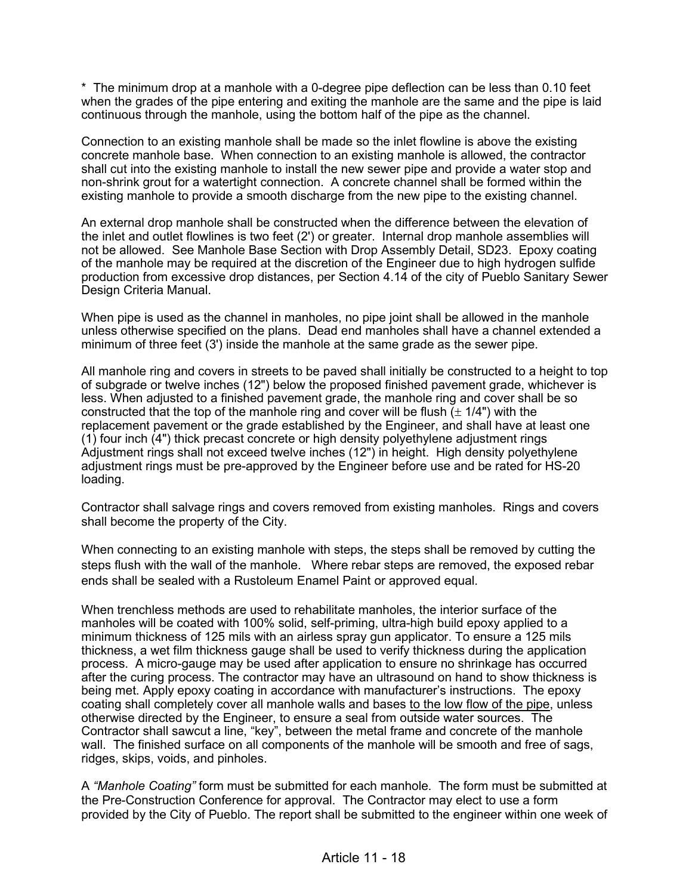\* The minimum drop at a manhole with a 0-degree pipe deflection can be less than 0.10 feet when the grades of the pipe entering and exiting the manhole are the same and the pipe is laid continuous through the manhole, using the bottom half of the pipe as the channel.

Connection to an existing manhole shall be made so the inlet flowline is above the existing concrete manhole base. When connection to an existing manhole is allowed, the contractor shall cut into the existing manhole to install the new sewer pipe and provide a water stop and non-shrink grout for a watertight connection. A concrete channel shall be formed within the existing manhole to provide a smooth discharge from the new pipe to the existing channel.

An external drop manhole shall be constructed when the difference between the elevation of the inlet and outlet flowlines is two feet (2') or greater. Internal drop manhole assemblies will not be allowed. See Manhole Base Section with Drop Assembly Detail, SD23. Epoxy coating of the manhole may be required at the discretion of the Engineer due to high hydrogen sulfide production from excessive drop distances, per Section 4.14 of the city of Pueblo Sanitary Sewer Design Criteria Manual.

When pipe is used as the channel in manholes, no pipe joint shall be allowed in the manhole unless otherwise specified on the plans. Dead end manholes shall have a channel extended a minimum of three feet (3') inside the manhole at the same grade as the sewer pipe.

All manhole ring and covers in streets to be paved shall initially be constructed to a height to top of subgrade or twelve inches (12") below the proposed finished pavement grade, whichever is less. When adjusted to a finished pavement grade, the manhole ring and cover shall be so constructed that the top of the manhole ring and cover will be flush  $(\pm 1/4")$  with the replacement pavement or the grade established by the Engineer, and shall have at least one (1) four inch (4") thick precast concrete or high density polyethylene adjustment rings Adjustment rings shall not exceed twelve inches (12") in height. High density polyethylene adjustment rings must be pre-approved by the Engineer before use and be rated for HS-20 loading.

Contractor shall salvage rings and covers removed from existing manholes. Rings and covers shall become the property of the City.

When connecting to an existing manhole with steps, the steps shall be removed by cutting the steps flush with the wall of the manhole. Where rebar steps are removed, the exposed rebar ends shall be sealed with a Rustoleum Enamel Paint or approved equal.

When trenchless methods are used to rehabilitate manholes, the interior surface of the manholes will be coated with 100% solid, self-priming, ultra-high build epoxy applied to a minimum thickness of 125 mils with an airless spray gun applicator. To ensure a 125 mils thickness, a wet film thickness gauge shall be used to verify thickness during the application process. A micro-gauge may be used after application to ensure no shrinkage has occurred after the curing process. The contractor may have an ultrasound on hand to show thickness is being met. Apply epoxy coating in accordance with manufacturer's instructions. The epoxy coating shall completely cover all manhole walls and bases to the low flow of the pipe, unless otherwise directed by the Engineer, to ensure a seal from outside water sources. The Contractor shall sawcut a line, "key", between the metal frame and concrete of the manhole wall. The finished surface on all components of the manhole will be smooth and free of sags, ridges, skips, voids, and pinholes.

A *"Manhole Coating"* form must be submitted for each manhole. The form must be submitted at the Pre-Construction Conference for approval. The Contractor may elect to use a form provided by the City of Pueblo. The report shall be submitted to the engineer within one week of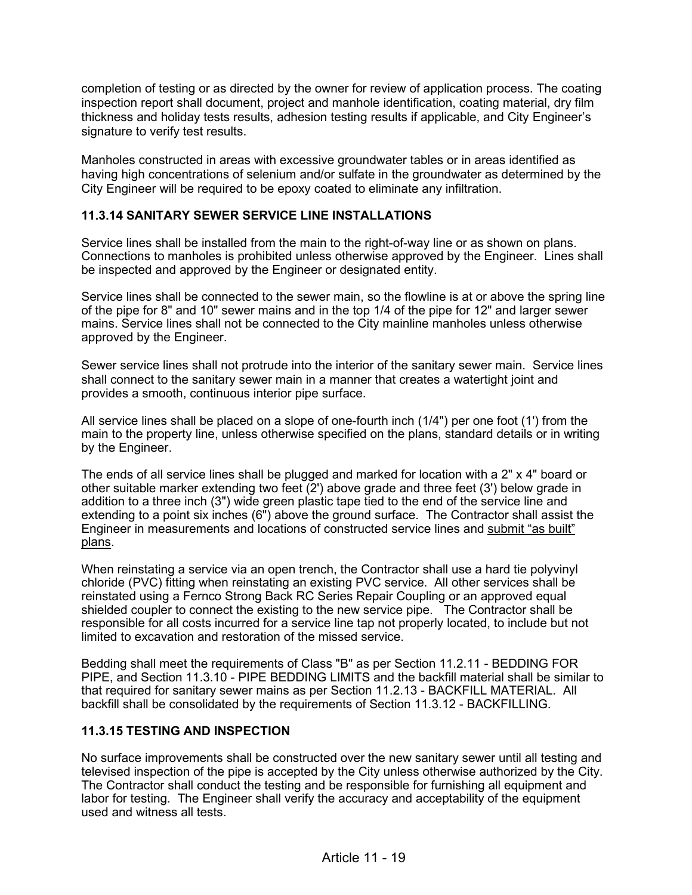completion of testing or as directed by the owner for review of application process. The coating inspection report shall document, project and manhole identification, coating material, dry film thickness and holiday tests results, adhesion testing results if applicable, and City Engineer's signature to verify test results.

Manholes constructed in areas with excessive groundwater tables or in areas identified as having high concentrations of selenium and/or sulfate in the groundwater as determined by the City Engineer will be required to be epoxy coated to eliminate any infiltration.

## **11.3.14 SANITARY SEWER SERVICE LINE INSTALLATIONS**

Service lines shall be installed from the main to the right-of-way line or as shown on plans. Connections to manholes is prohibited unless otherwise approved by the Engineer. Lines shall be inspected and approved by the Engineer or designated entity.

Service lines shall be connected to the sewer main, so the flowline is at or above the spring line of the pipe for 8" and 10" sewer mains and in the top 1/4 of the pipe for 12" and larger sewer mains. Service lines shall not be connected to the City mainline manholes unless otherwise approved by the Engineer.

Sewer service lines shall not protrude into the interior of the sanitary sewer main. Service lines shall connect to the sanitary sewer main in a manner that creates a watertight joint and provides a smooth, continuous interior pipe surface.

All service lines shall be placed on a slope of one-fourth inch (1/4") per one foot (1') from the main to the property line, unless otherwise specified on the plans, standard details or in writing by the Engineer.

The ends of all service lines shall be plugged and marked for location with a 2" x 4" board or other suitable marker extending two feet (2') above grade and three feet (3') below grade in addition to a three inch (3") wide green plastic tape tied to the end of the service line and extending to a point six inches (6") above the ground surface. The Contractor shall assist the Engineer in measurements and locations of constructed service lines and submit "as built" plans.

When reinstating a service via an open trench, the Contractor shall use a hard tie polyvinyl chloride (PVC) fitting when reinstating an existing PVC service. All other services shall be reinstated using a Fernco Strong Back RC Series Repair Coupling or an approved equal shielded coupler to connect the existing to the new service pipe. The Contractor shall be responsible for all costs incurred for a service line tap not properly located, to include but not limited to excavation and restoration of the missed service.

Bedding shall meet the requirements of Class "B" as per Section 11.2.11 - BEDDING FOR PIPE, and Section 11.3.10 - PIPE BEDDING LIMITS and the backfill material shall be similar to that required for sanitary sewer mains as per Section 11.2.13 - BACKFILL MATERIAL. All backfill shall be consolidated by the requirements of Section 11.3.12 - BACKFILLING.

### **11.3.15 TESTING AND INSPECTION**

No surface improvements shall be constructed over the new sanitary sewer until all testing and televised inspection of the pipe is accepted by the City unless otherwise authorized by the City. The Contractor shall conduct the testing and be responsible for furnishing all equipment and labor for testing. The Engineer shall verify the accuracy and acceptability of the equipment used and witness all tests.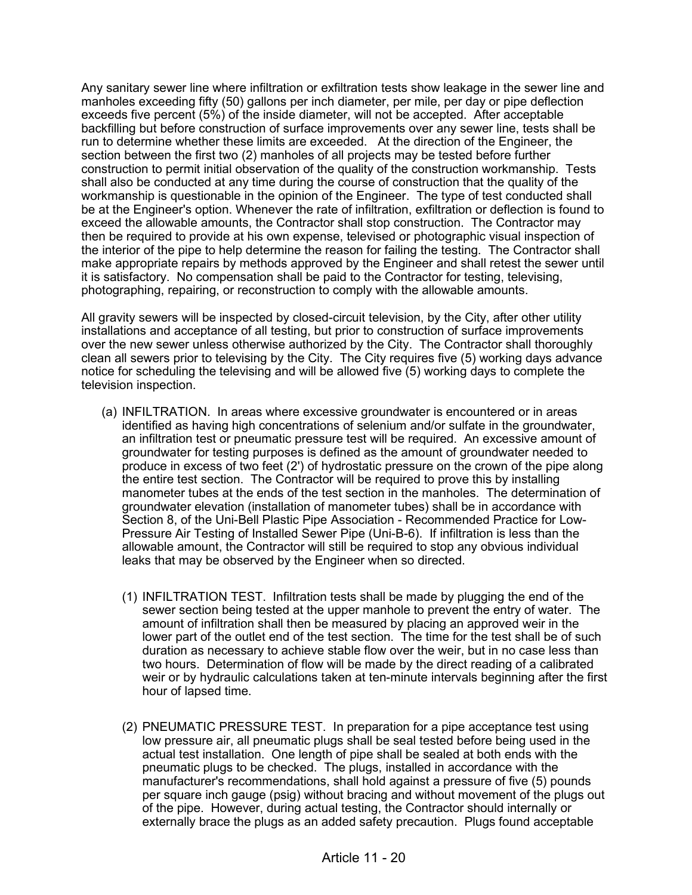Any sanitary sewer line where infiltration or exfiltration tests show leakage in the sewer line and manholes exceeding fifty (50) gallons per inch diameter, per mile, per day or pipe deflection exceeds five percent (5%) of the inside diameter, will not be accepted. After acceptable backfilling but before construction of surface improvements over any sewer line, tests shall be run to determine whether these limits are exceeded. At the direction of the Engineer, the section between the first two (2) manholes of all projects may be tested before further construction to permit initial observation of the quality of the construction workmanship. Tests shall also be conducted at any time during the course of construction that the quality of the workmanship is questionable in the opinion of the Engineer. The type of test conducted shall be at the Engineer's option. Whenever the rate of infiltration, exfiltration or deflection is found to exceed the allowable amounts, the Contractor shall stop construction. The Contractor may then be required to provide at his own expense, televised or photographic visual inspection of the interior of the pipe to help determine the reason for failing the testing. The Contractor shall make appropriate repairs by methods approved by the Engineer and shall retest the sewer until it is satisfactory. No compensation shall be paid to the Contractor for testing, televising, photographing, repairing, or reconstruction to comply with the allowable amounts.

All gravity sewers will be inspected by closed-circuit television, by the City, after other utility installations and acceptance of all testing, but prior to construction of surface improvements over the new sewer unless otherwise authorized by the City. The Contractor shall thoroughly clean all sewers prior to televising by the City. The City requires five (5) working days advance notice for scheduling the televising and will be allowed five (5) working days to complete the television inspection.

- (a) INFILTRATION. In areas where excessive groundwater is encountered or in areas identified as having high concentrations of selenium and/or sulfate in the groundwater, an infiltration test or pneumatic pressure test will be required. An excessive amount of groundwater for testing purposes is defined as the amount of groundwater needed to produce in excess of two feet (2') of hydrostatic pressure on the crown of the pipe along the entire test section. The Contractor will be required to prove this by installing manometer tubes at the ends of the test section in the manholes. The determination of groundwater elevation (installation of manometer tubes) shall be in accordance with Section 8, of the Uni-Bell Plastic Pipe Association - Recommended Practice for Low-Pressure Air Testing of Installed Sewer Pipe (Uni-B-6). If infiltration is less than the allowable amount, the Contractor will still be required to stop any obvious individual leaks that may be observed by the Engineer when so directed.
	- (1) INFILTRATION TEST. Infiltration tests shall be made by plugging the end of the sewer section being tested at the upper manhole to prevent the entry of water. The amount of infiltration shall then be measured by placing an approved weir in the lower part of the outlet end of the test section. The time for the test shall be of such duration as necessary to achieve stable flow over the weir, but in no case less than two hours. Determination of flow will be made by the direct reading of a calibrated weir or by hydraulic calculations taken at ten-minute intervals beginning after the first hour of lapsed time.
	- (2) PNEUMATIC PRESSURE TEST. In preparation for a pipe acceptance test using low pressure air, all pneumatic plugs shall be seal tested before being used in the actual test installation. One length of pipe shall be sealed at both ends with the pneumatic plugs to be checked. The plugs, installed in accordance with the manufacturer's recommendations, shall hold against a pressure of five (5) pounds per square inch gauge (psig) without bracing and without movement of the plugs out of the pipe. However, during actual testing, the Contractor should internally or externally brace the plugs as an added safety precaution. Plugs found acceptable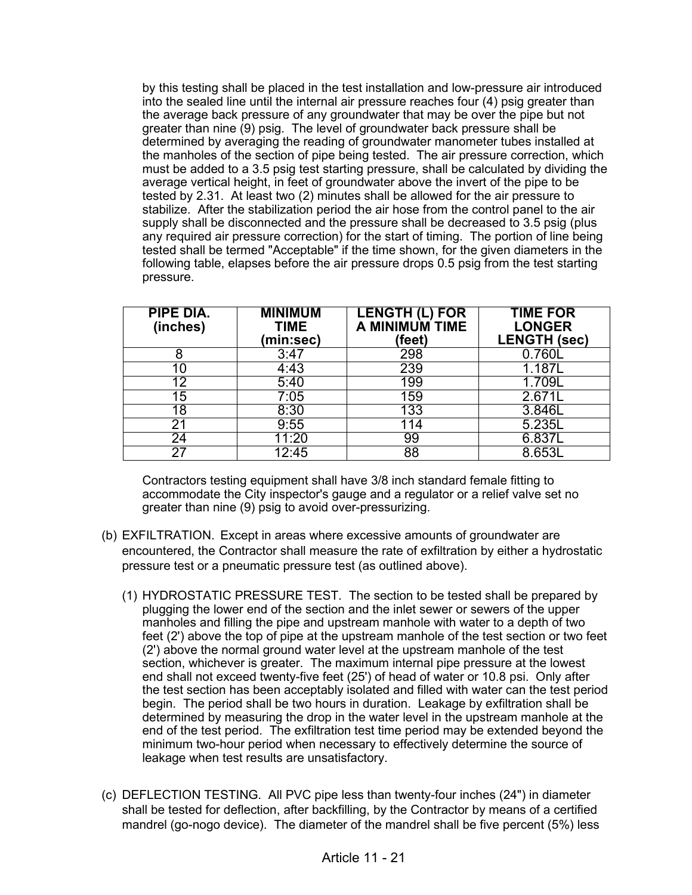by this testing shall be placed in the test installation and low-pressure air introduced into the sealed line until the internal air pressure reaches four (4) psig greater than the average back pressure of any groundwater that may be over the pipe but not greater than nine (9) psig. The level of groundwater back pressure shall be determined by averaging the reading of groundwater manometer tubes installed at the manholes of the section of pipe being tested. The air pressure correction, which must be added to a 3.5 psig test starting pressure, shall be calculated by dividing the average vertical height, in feet of groundwater above the invert of the pipe to be tested by 2.31. At least two (2) minutes shall be allowed for the air pressure to stabilize. After the stabilization period the air hose from the control panel to the air supply shall be disconnected and the pressure shall be decreased to 3.5 psig (plus any required air pressure correction) for the start of timing. The portion of line being tested shall be termed "Acceptable" if the time shown, for the given diameters in the following table, elapses before the air pressure drops 0.5 psig from the test starting pressure.

| <b>PIPE DIA.</b><br>(inches) | <b>MINIMUM</b><br><b>TIME</b><br>(min:sec) | <b>LENGTH (L) FOR</b><br>A MINIMUM TIME<br>(feet) | <b>TIME FOR</b><br><b>LONGER</b><br><b>LENGTH (sec)</b> |
|------------------------------|--------------------------------------------|---------------------------------------------------|---------------------------------------------------------|
| 8                            | 3:47                                       | 298                                               | 0.760L                                                  |
|                              | 4:43                                       | 239                                               | 1.187L                                                  |
| 12                           | 5:40                                       | 199                                               | 1.709L                                                  |
| 15                           | 7:05                                       | 159                                               | 2.671L                                                  |
| 18                           | 8:30                                       | 133                                               | 3.846L                                                  |
| 21                           | 9:55                                       | 114                                               | 5.235L                                                  |
| 24                           | 11:20                                      | 99                                                | 6.837L                                                  |
| 27                           | 12:45                                      | 88                                                | 8.653L                                                  |

Contractors testing equipment shall have 3/8 inch standard female fitting to accommodate the City inspector's gauge and a regulator or a relief valve set no greater than nine (9) psig to avoid over-pressurizing.

- (b) EXFILTRATION. Except in areas where excessive amounts of groundwater are encountered, the Contractor shall measure the rate of exfiltration by either a hydrostatic pressure test or a pneumatic pressure test (as outlined above).
	- (1) HYDROSTATIC PRESSURE TEST. The section to be tested shall be prepared by plugging the lower end of the section and the inlet sewer or sewers of the upper manholes and filling the pipe and upstream manhole with water to a depth of two feet (2') above the top of pipe at the upstream manhole of the test section or two feet (2') above the normal ground water level at the upstream manhole of the test section, whichever is greater. The maximum internal pipe pressure at the lowest end shall not exceed twenty-five feet (25') of head of water or 10.8 psi. Only after the test section has been acceptably isolated and filled with water can the test period begin. The period shall be two hours in duration. Leakage by exfiltration shall be determined by measuring the drop in the water level in the upstream manhole at the end of the test period. The exfiltration test time period may be extended beyond the minimum two-hour period when necessary to effectively determine the source of leakage when test results are unsatisfactory.
- (c) DEFLECTION TESTING. All PVC pipe less than twenty-four inches (24") in diameter shall be tested for deflection, after backfilling, by the Contractor by means of a certified mandrel (go-nogo device). The diameter of the mandrel shall be five percent (5%) less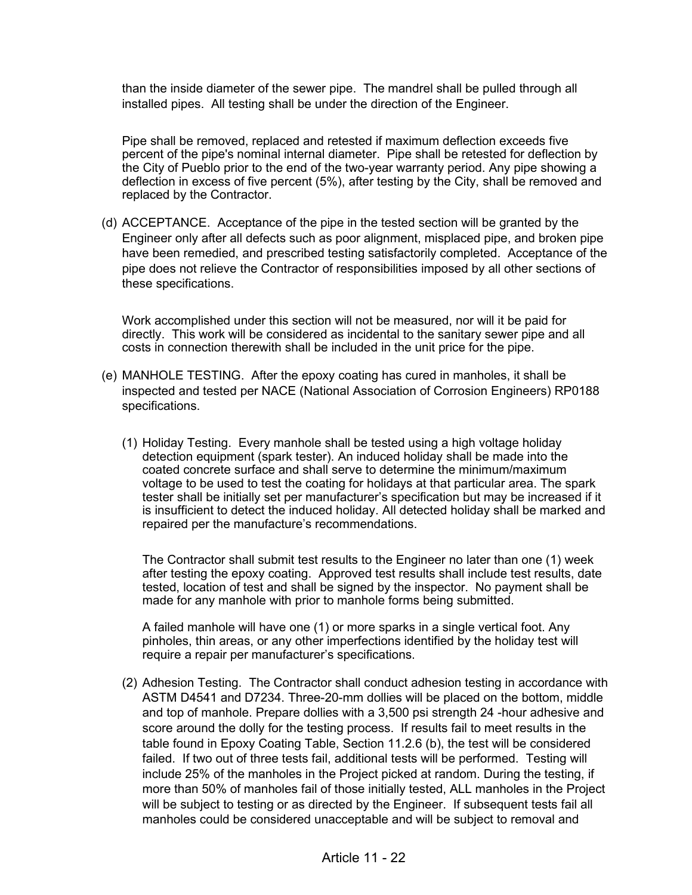than the inside diameter of the sewer pipe. The mandrel shall be pulled through all installed pipes. All testing shall be under the direction of the Engineer.

Pipe shall be removed, replaced and retested if maximum deflection exceeds five percent of the pipe's nominal internal diameter. Pipe shall be retested for deflection by the City of Pueblo prior to the end of the two-year warranty period. Any pipe showing a deflection in excess of five percent (5%), after testing by the City, shall be removed and replaced by the Contractor.

(d) ACCEPTANCE. Acceptance of the pipe in the tested section will be granted by the Engineer only after all defects such as poor alignment, misplaced pipe, and broken pipe have been remedied, and prescribed testing satisfactorily completed. Acceptance of the pipe does not relieve the Contractor of responsibilities imposed by all other sections of these specifications.

Work accomplished under this section will not be measured, nor will it be paid for directly. This work will be considered as incidental to the sanitary sewer pipe and all costs in connection therewith shall be included in the unit price for the pipe.

- (e) MANHOLE TESTING. After the epoxy coating has cured in manholes, it shall be inspected and tested per NACE (National Association of Corrosion Engineers) RP0188 specifications.
	- (1) Holiday Testing. Every manhole shall be tested using a high voltage holiday detection equipment (spark tester). An induced holiday shall be made into the coated concrete surface and shall serve to determine the minimum/maximum voltage to be used to test the coating for holidays at that particular area. The spark tester shall be initially set per manufacturer's specification but may be increased if it is insufficient to detect the induced holiday. All detected holiday shall be marked and repaired per the manufacture's recommendations.

The Contractor shall submit test results to the Engineer no later than one (1) week after testing the epoxy coating. Approved test results shall include test results, date tested, location of test and shall be signed by the inspector. No payment shall be made for any manhole with prior to manhole forms being submitted.

A failed manhole will have one (1) or more sparks in a single vertical foot. Any pinholes, thin areas, or any other imperfections identified by the holiday test will require a repair per manufacturer's specifications.

(2) Adhesion Testing. The Contractor shall conduct adhesion testing in accordance with ASTM D4541 and D7234. Three-20-mm dollies will be placed on the bottom, middle and top of manhole. Prepare dollies with a 3,500 psi strength 24 -hour adhesive and score around the dolly for the testing process. If results fail to meet results in the table found in Epoxy Coating Table, Section 11.2.6 (b), the test will be considered failed. If two out of three tests fail, additional tests will be performed. Testing will include 25% of the manholes in the Project picked at random. During the testing, if more than 50% of manholes fail of those initially tested, ALL manholes in the Project will be subject to testing or as directed by the Engineer. If subsequent tests fail all manholes could be considered unacceptable and will be subject to removal and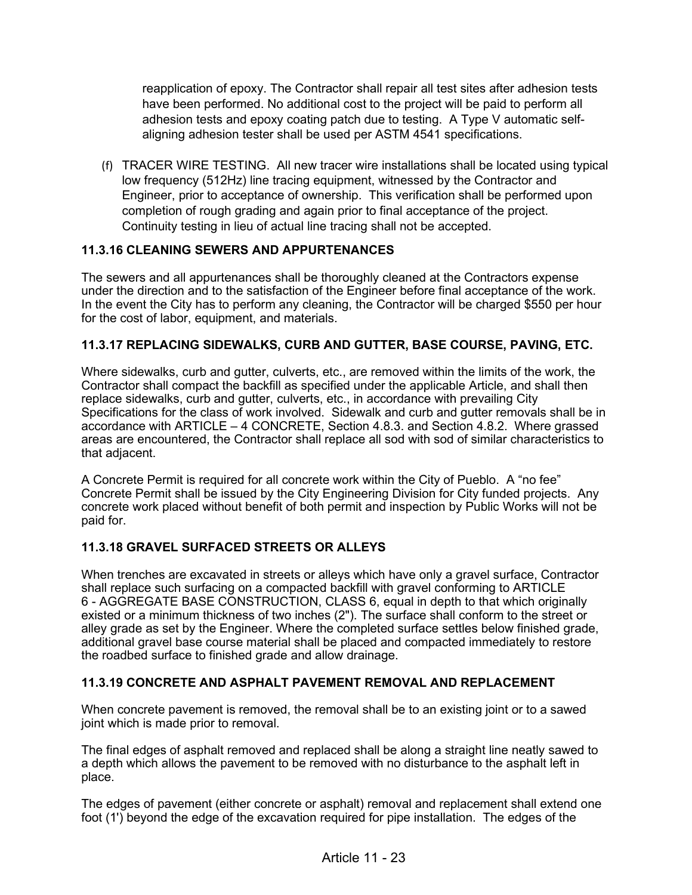reapplication of epoxy. The Contractor shall repair all test sites after adhesion tests have been performed. No additional cost to the project will be paid to perform all adhesion tests and epoxy coating patch due to testing. A Type V automatic selfaligning adhesion tester shall be used per ASTM 4541 specifications.

(f) TRACER WIRE TESTING. All new tracer wire installations shall be located using typical low frequency (512Hz) line tracing equipment, witnessed by the Contractor and Engineer, prior to acceptance of ownership. This verification shall be performed upon completion of rough grading and again prior to final acceptance of the project. Continuity testing in lieu of actual line tracing shall not be accepted.

## **11.3.16 CLEANING SEWERS AND APPURTENANCES**

The sewers and all appurtenances shall be thoroughly cleaned at the Contractors expense under the direction and to the satisfaction of the Engineer before final acceptance of the work. In the event the City has to perform any cleaning, the Contractor will be charged \$550 per hour for the cost of labor, equipment, and materials.

# **11.3.17 REPLACING SIDEWALKS, CURB AND GUTTER, BASE COURSE, PAVING, ETC.**

Where sidewalks, curb and gutter, culverts, etc., are removed within the limits of the work, the Contractor shall compact the backfill as specified under the applicable Article, and shall then replace sidewalks, curb and gutter, culverts, etc., in accordance with prevailing City Specifications for the class of work involved. Sidewalk and curb and gutter removals shall be in accordance with ARTICLE – 4 CONCRETE, Section 4.8.3. and Section 4.8.2. Where grassed areas are encountered, the Contractor shall replace all sod with sod of similar characteristics to that adjacent.

A Concrete Permit is required for all concrete work within the City of Pueblo. A "no fee" Concrete Permit shall be issued by the City Engineering Division for City funded projects. Any concrete work placed without benefit of both permit and inspection by Public Works will not be paid for.

# **11.3.18 GRAVEL SURFACED STREETS OR ALLEYS**

When trenches are excavated in streets or alleys which have only a gravel surface, Contractor shall replace such surfacing on a compacted backfill with gravel conforming to ARTICLE 6 - AGGREGATE BASE CONSTRUCTION, CLASS 6, equal in depth to that which originally existed or a minimum thickness of two inches (2"). The surface shall conform to the street or alley grade as set by the Engineer. Where the completed surface settles below finished grade, additional gravel base course material shall be placed and compacted immediately to restore the roadbed surface to finished grade and allow drainage.

### **11.3.19 CONCRETE AND ASPHALT PAVEMENT REMOVAL AND REPLACEMENT**

When concrete pavement is removed, the removal shall be to an existing joint or to a sawed joint which is made prior to removal.

The final edges of asphalt removed and replaced shall be along a straight line neatly sawed to a depth which allows the pavement to be removed with no disturbance to the asphalt left in place.

The edges of pavement (either concrete or asphalt) removal and replacement shall extend one foot (1') beyond the edge of the excavation required for pipe installation. The edges of the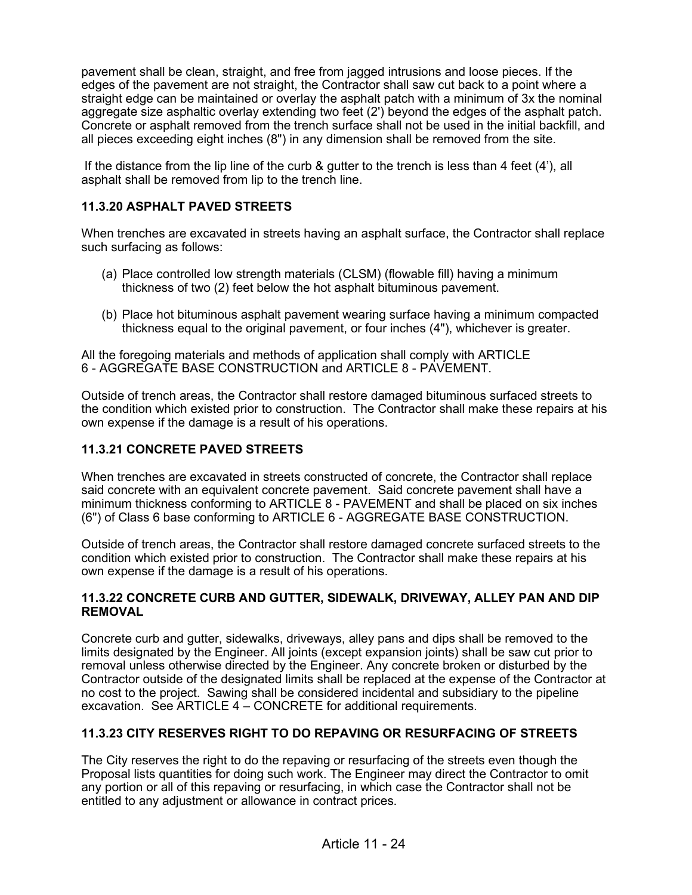pavement shall be clean, straight, and free from jagged intrusions and loose pieces. If the edges of the pavement are not straight, the Contractor shall saw cut back to a point where a straight edge can be maintained or overlay the asphalt patch with a minimum of 3x the nominal aggregate size asphaltic overlay extending two feet (2') beyond the edges of the asphalt patch. Concrete or asphalt removed from the trench surface shall not be used in the initial backfill, and all pieces exceeding eight inches (8") in any dimension shall be removed from the site.

If the distance from the lip line of the curb & gutter to the trench is less than 4 feet (4'), all asphalt shall be removed from lip to the trench line.

## **11.3.20 ASPHALT PAVED STREETS**

When trenches are excavated in streets having an asphalt surface, the Contractor shall replace such surfacing as follows:

- (a) Place controlled low strength materials (CLSM) (flowable fill) having a minimum thickness of two (2) feet below the hot asphalt bituminous pavement.
- (b) Place hot bituminous asphalt pavement wearing surface having a minimum compacted thickness equal to the original pavement, or four inches (4"), whichever is greater.

All the foregoing materials and methods of application shall comply with ARTICLE 6 - AGGREGATE BASE CONSTRUCTION and ARTICLE 8 - PAVEMENT.

Outside of trench areas, the Contractor shall restore damaged bituminous surfaced streets to the condition which existed prior to construction. The Contractor shall make these repairs at his own expense if the damage is a result of his operations.

# **11.3.21 CONCRETE PAVED STREETS**

When trenches are excavated in streets constructed of concrete, the Contractor shall replace said concrete with an equivalent concrete pavement. Said concrete pavement shall have a minimum thickness conforming to ARTICLE 8 - PAVEMENT and shall be placed on six inches (6") of Class 6 base conforming to ARTICLE 6 - AGGREGATE BASE CONSTRUCTION.

Outside of trench areas, the Contractor shall restore damaged concrete surfaced streets to the condition which existed prior to construction. The Contractor shall make these repairs at his own expense if the damage is a result of his operations.

#### **11.3.22 CONCRETE CURB AND GUTTER, SIDEWALK, DRIVEWAY, ALLEY PAN AND DIP REMOVAL**

Concrete curb and gutter, sidewalks, driveways, alley pans and dips shall be removed to the limits designated by the Engineer. All joints (except expansion joints) shall be saw cut prior to removal unless otherwise directed by the Engineer. Any concrete broken or disturbed by the Contractor outside of the designated limits shall be replaced at the expense of the Contractor at no cost to the project. Sawing shall be considered incidental and subsidiary to the pipeline excavation. See ARTICLE 4 – CONCRETE for additional requirements.

### **11.3.23 CITY RESERVES RIGHT TO DO REPAVING OR RESURFACING OF STREETS**

The City reserves the right to do the repaving or resurfacing of the streets even though the Proposal lists quantities for doing such work. The Engineer may direct the Contractor to omit any portion or all of this repaving or resurfacing, in which case the Contractor shall not be entitled to any adjustment or allowance in contract prices.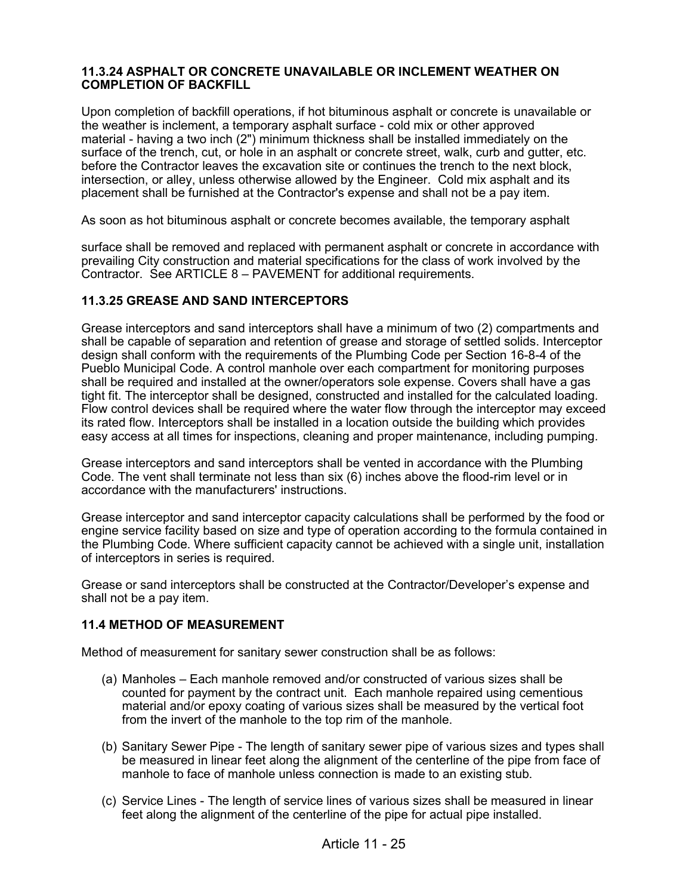#### **11.3.24 ASPHALT OR CONCRETE UNAVAILABLE OR INCLEMENT WEATHER ON COMPLETION OF BACKFILL**

Upon completion of backfill operations, if hot bituminous asphalt or concrete is unavailable or the weather is inclement, a temporary asphalt surface - cold mix or other approved material - having a two inch (2") minimum thickness shall be installed immediately on the surface of the trench, cut, or hole in an asphalt or concrete street, walk, curb and gutter, etc. before the Contractor leaves the excavation site or continues the trench to the next block, intersection, or alley, unless otherwise allowed by the Engineer. Cold mix asphalt and its placement shall be furnished at the Contractor's expense and shall not be a pay item.

As soon as hot bituminous asphalt or concrete becomes available, the temporary asphalt

surface shall be removed and replaced with permanent asphalt or concrete in accordance with prevailing City construction and material specifications for the class of work involved by the Contractor. See ARTICLE 8 – PAVEMENT for additional requirements.

### **11.3.25 GREASE AND SAND INTERCEPTORS**

Grease interceptors and sand interceptors shall have a minimum of two (2) compartments and shall be capable of separation and retention of grease and storage of settled solids. Interceptor design shall conform with the requirements of the Plumbing Code per Section 16-8-4 of the Pueblo Municipal Code. A control manhole over each compartment for monitoring purposes shall be required and installed at the owner/operators sole expense. Covers shall have a gas tight fit. The interceptor shall be designed, constructed and installed for the calculated loading. Flow control devices shall be required where the water flow through the interceptor may exceed its rated flow. Interceptors shall be installed in a location outside the building which provides easy access at all times for inspections, cleaning and proper maintenance, including pumping.

Grease interceptors and sand interceptors shall be vented in accordance with the Plumbing Code. The vent shall terminate not less than six (6) inches above the flood-rim level or in accordance with the manufacturers' instructions.

Grease interceptor and sand interceptor capacity calculations shall be performed by the food or engine service facility based on size and type of operation according to the formula contained in the Plumbing Code. Where sufficient capacity cannot be achieved with a single unit, installation of interceptors in series is required.

Grease or sand interceptors shall be constructed at the Contractor/Developer's expense and shall not be a pay item.

# **11.4 METHOD OF MEASUREMENT**

Method of measurement for sanitary sewer construction shall be as follows:

- (a) Manholes Each manhole removed and/or constructed of various sizes shall be counted for payment by the contract unit. Each manhole repaired using cementious material and/or epoxy coating of various sizes shall be measured by the vertical foot from the invert of the manhole to the top rim of the manhole.
- (b) Sanitary Sewer Pipe The length of sanitary sewer pipe of various sizes and types shall be measured in linear feet along the alignment of the centerline of the pipe from face of manhole to face of manhole unless connection is made to an existing stub.
- (c) Service Lines The length of service lines of various sizes shall be measured in linear feet along the alignment of the centerline of the pipe for actual pipe installed.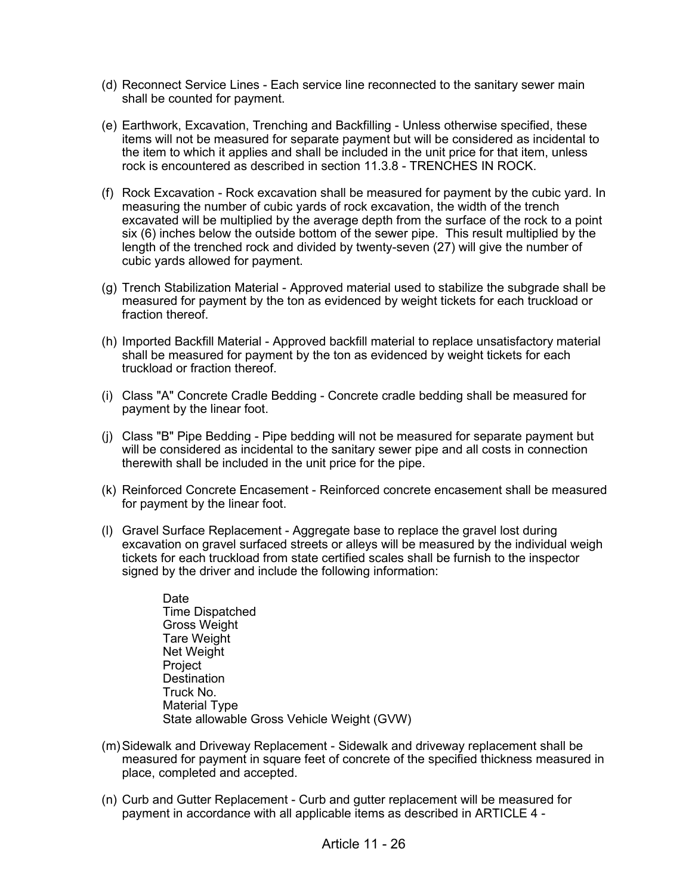- (d) Reconnect Service Lines Each service line reconnected to the sanitary sewer main shall be counted for payment.
- (e) Earthwork, Excavation, Trenching and Backfilling Unless otherwise specified, these items will not be measured for separate payment but will be considered as incidental to the item to which it applies and shall be included in the unit price for that item, unless rock is encountered as described in section 11.3.8 - TRENCHES IN ROCK.
- (f) Rock Excavation Rock excavation shall be measured for payment by the cubic yard. In measuring the number of cubic yards of rock excavation, the width of the trench excavated will be multiplied by the average depth from the surface of the rock to a point six (6) inches below the outside bottom of the sewer pipe. This result multiplied by the length of the trenched rock and divided by twenty-seven (27) will give the number of cubic yards allowed for payment.
- (g) Trench Stabilization Material Approved material used to stabilize the subgrade shall be measured for payment by the ton as evidenced by weight tickets for each truckload or fraction thereof
- (h) Imported Backfill Material Approved backfill material to replace unsatisfactory material shall be measured for payment by the ton as evidenced by weight tickets for each truckload or fraction thereof.
- (i) Class "A" Concrete Cradle Bedding Concrete cradle bedding shall be measured for payment by the linear foot.
- (j) Class "B" Pipe Bedding Pipe bedding will not be measured for separate payment but will be considered as incidental to the sanitary sewer pipe and all costs in connection therewith shall be included in the unit price for the pipe.
- (k) Reinforced Concrete Encasement Reinforced concrete encasement shall be measured for payment by the linear foot.
- (l) Gravel Surface Replacement Aggregate base to replace the gravel lost during excavation on gravel surfaced streets or alleys will be measured by the individual weigh tickets for each truckload from state certified scales shall be furnish to the inspector signed by the driver and include the following information:
	- Date Time Dispatched Gross Weight Tare Weight Net Weight Project **Destination** Truck No. Material Type State allowable Gross Vehicle Weight (GVW)
- (m)Sidewalk and Driveway Replacement Sidewalk and driveway replacement shall be measured for payment in square feet of concrete of the specified thickness measured in place, completed and accepted.
- (n) Curb and Gutter Replacement Curb and gutter replacement will be measured for payment in accordance with all applicable items as described in ARTICLE 4 -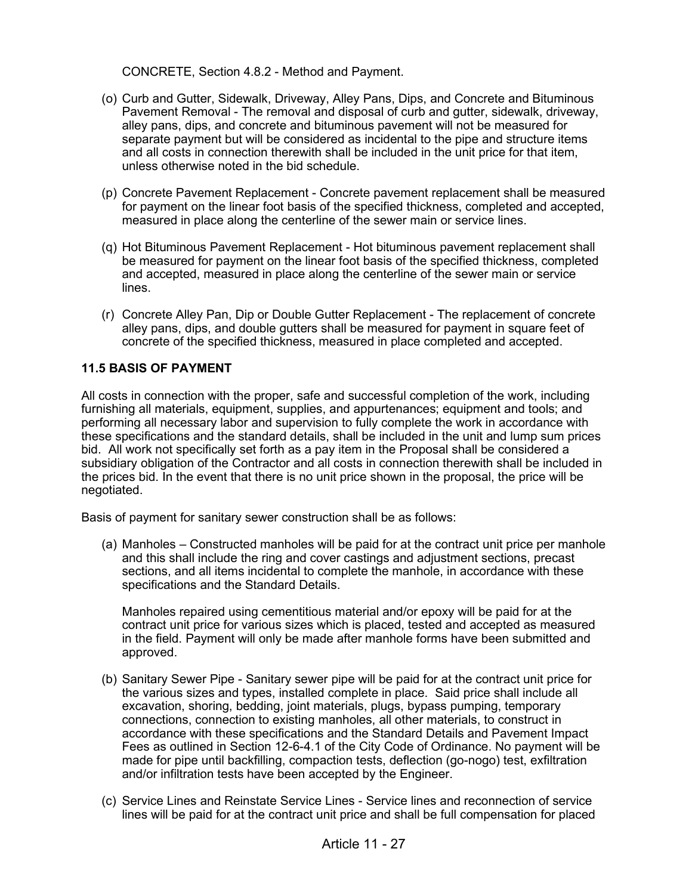CONCRETE, Section 4.8.2 - Method and Payment.

- (o) Curb and Gutter, Sidewalk, Driveway, Alley Pans, Dips, and Concrete and Bituminous Pavement Removal - The removal and disposal of curb and gutter, sidewalk, driveway, alley pans, dips, and concrete and bituminous pavement will not be measured for separate payment but will be considered as incidental to the pipe and structure items and all costs in connection therewith shall be included in the unit price for that item, unless otherwise noted in the bid schedule.
- (p) Concrete Pavement Replacement Concrete pavement replacement shall be measured for payment on the linear foot basis of the specified thickness, completed and accepted, measured in place along the centerline of the sewer main or service lines.
- (q) Hot Bituminous Pavement Replacement Hot bituminous pavement replacement shall be measured for payment on the linear foot basis of the specified thickness, completed and accepted, measured in place along the centerline of the sewer main or service lines.
- (r) Concrete Alley Pan, Dip or Double Gutter Replacement The replacement of concrete alley pans, dips, and double gutters shall be measured for payment in square feet of concrete of the specified thickness, measured in place completed and accepted.

## **11.5 BASIS OF PAYMENT**

All costs in connection with the proper, safe and successful completion of the work, including furnishing all materials, equipment, supplies, and appurtenances; equipment and tools; and performing all necessary labor and supervision to fully complete the work in accordance with these specifications and the standard details, shall be included in the unit and lump sum prices bid. All work not specifically set forth as a pay item in the Proposal shall be considered a subsidiary obligation of the Contractor and all costs in connection therewith shall be included in the prices bid. In the event that there is no unit price shown in the proposal, the price will be negotiated.

Basis of payment for sanitary sewer construction shall be as follows:

(a) Manholes – Constructed manholes will be paid for at the contract unit price per manhole and this shall include the ring and cover castings and adjustment sections, precast sections, and all items incidental to complete the manhole, in accordance with these specifications and the Standard Details.

Manholes repaired using cementitious material and/or epoxy will be paid for at the contract unit price for various sizes which is placed, tested and accepted as measured in the field. Payment will only be made after manhole forms have been submitted and approved.

- (b) Sanitary Sewer Pipe Sanitary sewer pipe will be paid for at the contract unit price for the various sizes and types, installed complete in place. Said price shall include all excavation, shoring, bedding, joint materials, plugs, bypass pumping, temporary connections, connection to existing manholes, all other materials, to construct in accordance with these specifications and the Standard Details and Pavement Impact Fees as outlined in Section 12-6-4.1 of the City Code of Ordinance. No payment will be made for pipe until backfilling, compaction tests, deflection (go-nogo) test, exfiltration and/or infiltration tests have been accepted by the Engineer.
- (c) Service Lines and Reinstate Service Lines Service lines and reconnection of service lines will be paid for at the contract unit price and shall be full compensation for placed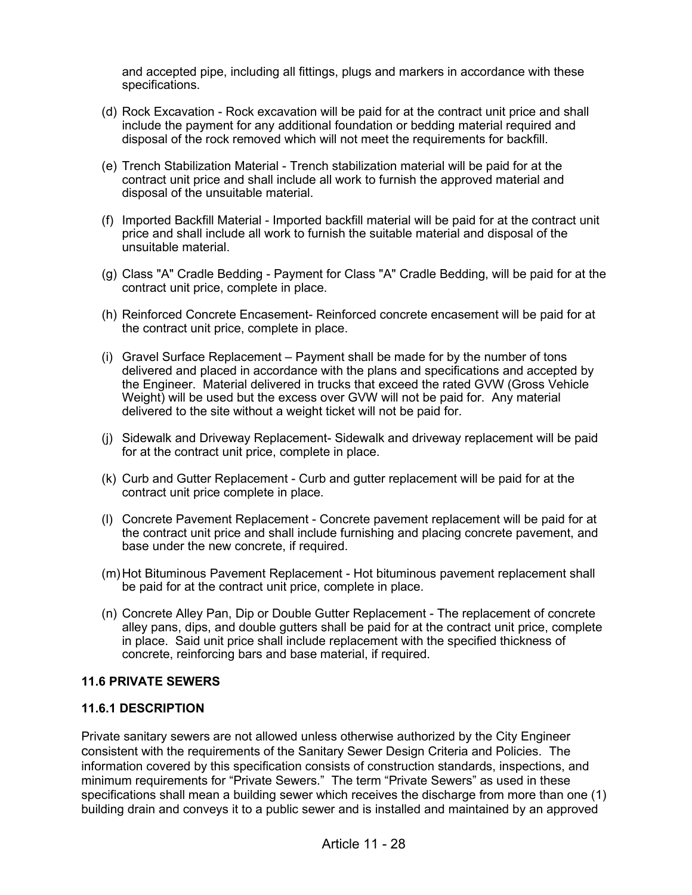and accepted pipe, including all fittings, plugs and markers in accordance with these specifications.

- (d) Rock Excavation Rock excavation will be paid for at the contract unit price and shall include the payment for any additional foundation or bedding material required and disposal of the rock removed which will not meet the requirements for backfill.
- (e) Trench Stabilization Material Trench stabilization material will be paid for at the contract unit price and shall include all work to furnish the approved material and disposal of the unsuitable material.
- (f) Imported Backfill Material Imported backfill material will be paid for at the contract unit price and shall include all work to furnish the suitable material and disposal of the unsuitable material.
- (g) Class "A" Cradle Bedding Payment for Class "A" Cradle Bedding, will be paid for at the contract unit price, complete in place.
- (h) Reinforced Concrete Encasement- Reinforced concrete encasement will be paid for at the contract unit price, complete in place.
- (i) Gravel Surface Replacement Payment shall be made for by the number of tons delivered and placed in accordance with the plans and specifications and accepted by the Engineer. Material delivered in trucks that exceed the rated GVW (Gross Vehicle Weight) will be used but the excess over GVW will not be paid for. Any material delivered to the site without a weight ticket will not be paid for.
- (j) Sidewalk and Driveway Replacement- Sidewalk and driveway replacement will be paid for at the contract unit price, complete in place.
- (k) Curb and Gutter Replacement Curb and gutter replacement will be paid for at the contract unit price complete in place.
- (l) Concrete Pavement Replacement Concrete pavement replacement will be paid for at the contract unit price and shall include furnishing and placing concrete pavement, and base under the new concrete, if required.
- (m)Hot Bituminous Pavement Replacement Hot bituminous pavement replacement shall be paid for at the contract unit price, complete in place.
- (n) Concrete Alley Pan, Dip or Double Gutter Replacement The replacement of concrete alley pans, dips, and double gutters shall be paid for at the contract unit price, complete in place. Said unit price shall include replacement with the specified thickness of concrete, reinforcing bars and base material, if required.

### **11.6 PRIVATE SEWERS**

### **11.6.1 DESCRIPTION**

Private sanitary sewers are not allowed unless otherwise authorized by the City Engineer consistent with the requirements of the Sanitary Sewer Design Criteria and Policies. The information covered by this specification consists of construction standards, inspections, and minimum requirements for "Private Sewers." The term "Private Sewers" as used in these specifications shall mean a building sewer which receives the discharge from more than one (1) building drain and conveys it to a public sewer and is installed and maintained by an approved